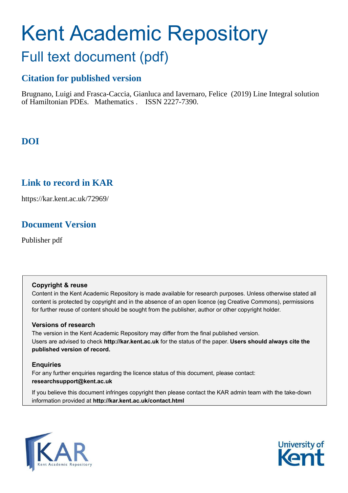# Kent Academic Repository Full text document (pdf)

# **Citation for published version**

Brugnano, Luigi and Frasca-Caccia, Gianluca and Iavernaro, Felice (2019) Line Integral solution of Hamiltonian PDEs. Mathematics . ISSN 2227-7390.

# **DOI**

# **Link to record in KAR**

https://kar.kent.ac.uk/72969/

# **Document Version**

Publisher pdf

## **Copyright & reuse**

Content in the Kent Academic Repository is made available for research purposes. Unless otherwise stated all content is protected by copyright and in the absence of an open licence (eg Creative Commons), permissions for further reuse of content should be sought from the publisher, author or other copyright holder.

## **Versions of research**

The version in the Kent Academic Repository may differ from the final published version. Users are advised to check **http://kar.kent.ac.uk** for the status of the paper. **Users should always cite the published version of record.**

## **Enquiries**

For any further enquiries regarding the licence status of this document, please contact: **researchsupport@kent.ac.uk**

<span id="page-0-0"></span>If you believe this document infringes copyright then please contact the KAR admin team with the take-down information provided at **http://kar.kent.ac.uk/contact.html**



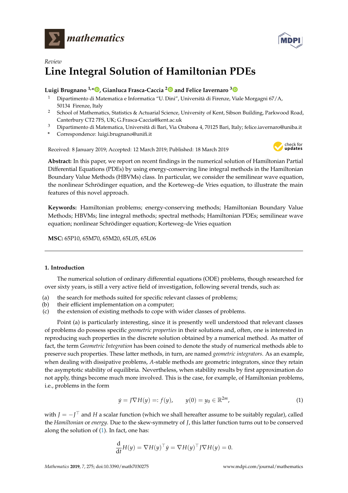



## *Review* **Line Integral Solution of Hamiltonian PDEs**

## **Luigi Brugnano 1,[\\*](https://orcid.org/0000-0002-6290-4107) , Gianluca Frasca-Caccia [2](https://orcid.org/0000-0002-4703-1424) and Felice Iavernaro [3](https://orcid.org/0000-0002-9716-7370)**

- <sup>1</sup> Dipartimento di Matematica e Informatica "U. Dini", Università di Firenze, Viale Morgagni 67/A, 50134 Firenze, Italy
- <sup>2</sup> School of Mathematics, Statistics & Actuarial Science, University of Kent, Sibson Building, Parkwood Road, Canterbury CT2 7FS, UK; G.Frasca-Caccia@kent.ac.uk
- <sup>3</sup> Dipartimento di Matematica, Università di Bari, Via Orabona 4, 70125 Bari, Italy; felice.iavernaro@uniba.it
- **\*** Correspondence: luigi.brugnano@unifi.it

Received: 8 January 2019; Accepted: 12 March 2019; Published: 18 March 2019



**Abstract:** In this paper, we report on recent findings in the numerical solution of Hamiltonian Partial Differential Equations (PDEs) by using energy-conserving line integral methods in the Hamiltonian Boundary Value Methods (HBVMs) class. In particular, we consider the semilinear wave equation, the nonlinear Schrödinger equation, and the Korteweg–de Vries equation, to illustrate the main features of this novel approach.

**Keywords:** Hamiltonian problems; energy-conserving methods; Hamiltonian Boundary Value Methods; HBVMs; line integral methods; spectral methods; Hamiltonian PDEs; semilinear wave equation; nonlinear Schrödinger equation; Korteweg–de Vries equation

**MSC:** 65P10, 65M70, 65M20, 65L05, 65L06

#### **1. Introduction**

The numerical solution of ordinary differential equations (ODE) problems, though researched for over sixty years, is still a very active field of investigation, following several trends, such as:

- (a) the search for methods suited for specific relevant classes of problems;
- (b) their efficient implementation on a computer;
- (c) the extension of existing methods to cope with wider classes of problems.

<span id="page-1-0"></span>Point (a) is particularly interesting, since it is presently well understood that relevant classes of problems do possess specific *geometric properties* in their solutions and, often, one is interested in reproducing such properties in the discrete solution obtained by a numerical method. As matter of fact, the term *Geometric Integration* has been coined to denote the study of numerical methods able to preserve such properties. These latter methods, in turn, are named *geometric integrators*. As an example, when dealing with dissipative problems, *A*-stable methods are geometric integrators, since they retain the asymptotic stability of equilibria. Nevertheless, when stability results by first approximation do not apply, things become much more involved. This is the case, for example, of Hamiltonian problems, i.e., problems in the form

$$
\dot{y} = J \nabla H(y) =: f(y), \qquad y(0) = y_0 \in \mathbb{R}^{2m}, \tag{1}
$$

with *J* = −*J* ⊤ and *H* a scalar function (which we shall hereafter assume to be suitably regular), called the *Hamiltonian* or *energy*. Due to the skew-symmetry of *J*, this latter function turns out to be conserved along the solution of [\(1\)](#page-0-0). In fact, one has:

$$
\frac{\mathrm{d}}{\mathrm{d}t}H(y) = \nabla H(y)^\top y = \nabla H(y)^\top J \nabla H(y) = 0.
$$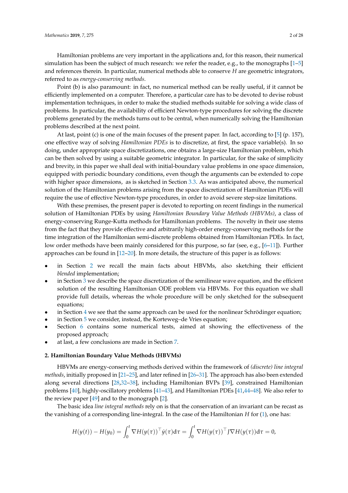Hamiltonian problems are very important in the applications and, for this reason, their numerical simulation has been the subject of much research: we refer the reader, e.g., to the monographs  $[1–5]$  $[1–5]$ and references therein. In particular, numerical methods able to conserve *H* are geometric integrators, referred to as *energy-conserving methods*.

<span id="page-2-0"></span>Point (b) is also paramount: in fact, no numerical method can be really useful, if it cannot be efficiently implemented on a computer. Therefore, a particular care has to be devoted to devise robust implementation techniques, in order to make the studied methods suitable for solving a wide class of problems. In particular, the availability of efficient Newton-type procedures for solving the discrete problems generated by the methods turns out to be central, when numerically solving the Hamiltonian problems described at the next point.

<span id="page-2-3"></span><span id="page-2-1"></span>At last, point (c) is one of the main focuses of the present paper. In fact, according to [\[5\]](#page-25-1) (p. 157), one effective way of solving *Hamiltonian PDEs* is to discretize, at first, the space variable(s). In so doing, under appropriate space discretizations, one obtains a large-size Hamiltonian problem, which can be then solved by using a suitable geometric integrator. In particular, for the sake of simplicity and brevity, in this paper we shall deal with initial-boundary value problems in one space dimension, equipped with periodic boundary conditions, even though the arguments can be extended to cope with higher space dimensions, as is sketched in Section [3.3.](#page-11-0) As was anticipated above, the numerical solution of the Hamiltonian problems arising from the space discretization of Hamiltonian PDEs will require the use of effective Newton-type procedures, in order to avoid severe step-size limitations.

<span id="page-2-2"></span>With these premises, the present paper is devoted to reporting on recent findings in the numerical solution of Hamiltonian PDEs by using *Hamiltonian Boundary Value Methods (HBVMs)*, a class of energy-conserving Runge-Kutta methods for Hamiltonian problems. The novelty in their use stems from the fact that they provide effective and arbitrarily high-order energy-conserving methods for the time integration of the Hamiltonian semi-discrete problems obtained from Hamiltonian PDEs. In fact, low order methods have been mainly considered for this purpose, so far (see, e.g., [\[6–](#page-25-2)[11\]](#page-25-3)). Further approaches can be found in [\[12](#page-25-4)[–20\]](#page-25-5). In more details, the structure of this paper is as follows:

- <span id="page-2-4"></span>in Section [2](#page-1-0) we recall the main facts about HBVMs, also sketching their efficient *blended* implementation;
- in Section [3](#page-8-0) we describe the space discretization of the semilinear wave equation, and the efficient solution of the resulting Hamiltonian ODE problem via HBVMs. For this equation we shall provide full details, whereas the whole procedure will be only sketched for the subsequent equations;
- in Section  $4$  we see that the same approach can be used for the nonlinear Schrödinger equation;
- in Section [5](#page-15-0) we consider, instead, the Korteweg–de Vries equation;
- Section [6](#page-17-0) contains some numerical tests, aimed at showing the effectiveness of the proposed approach;
- <span id="page-2-5"></span>at last, a few conclusions are made in Section [7.](#page-24-0)

#### **2. Hamiltonian Boundary Value Methods (HBVMs)**

HBVMs are energy-conserving methods derived within the framework of *(discrete) line integral methods*, initially proposed in [\[21–](#page-25-6)[25\]](#page-25-7), and later refined in [\[26](#page-26-0)[–31\]](#page-26-1). The approach has also been extended along several directions [\[28](#page-26-2)[,32](#page-26-3)[–38\]](#page-26-4), including Hamiltonian BVPs [\[39\]](#page-26-5), constrained Hamiltonian problems [\[40\]](#page-26-6), highly-oscillatory problems [\[41](#page-26-7)[–43\]](#page-26-8), and Hamiltonian PDEs [\[41,](#page-26-7)[44–](#page-26-9)[48\]](#page-26-10). We also refer to the review paper [\[49\]](#page-26-11) and to the monograph [\[2\]](#page-25-8).

The basic idea *line integral methods* rely on is that the conservation of an invariant can be recast as the vanishing of a corresponding line-integral. In the case of the Hamiltonian *H* for [\(1\)](#page-0-0), one has:

<span id="page-2-6"></span>
$$
H(y(t)) - H(y_0) = \int_0^t \nabla H(y(\tau))^\top \dot{y}(\tau) d\tau = \int_0^t \nabla H(y(\tau))^\top J \nabla H(y(\tau)) d\tau = 0,
$$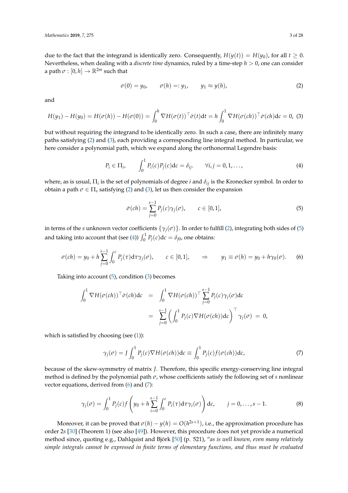due to the fact that the integrand is identically zero. Consequently,  $H(y(t)) = H(y_0)$ , for all  $t \ge 0$ . Nevertheless, when dealing with a *discrete time* dynamics, ruled by a time-step *h* > 0, one can consider a path  $\sigma : [0, h] \to \mathbb{R}^{2m}$  such that

<span id="page-3-2"></span>
$$
\sigma(0) = y_0, \qquad \sigma(h) =: y_1, \qquad y_1 \approx y(h), \tag{2}
$$

and

$$
H(y_1) - H(y_0) = H(\sigma(h)) - H(\sigma(0)) = \int_0^h \nabla H(\sigma(t))^\top \dot{\sigma}(t) dt = h \int_0^1 \nabla H(\sigma(ch))^\top \dot{\sigma}(ch) dc = 0, \tag{3}
$$

but without requiring the integrand to be identically zero. In such a case, there are infinitely many paths satisfying [\(2\)](#page-2-0) and [\(3\)](#page-2-1), each providing a corresponding line integral method. In particular, we here consider a polynomial path, which we expand along the orthonormal Legendre basis:

<span id="page-3-0"></span>
$$
P_i \in \Pi_i, \qquad \int_0^1 P_i(c) P_j(c) \mathrm{d}c = \delta_{ij}. \qquad \forall i, j = 0, 1, \dots,
$$
\n
$$
(4)
$$

where, as is usual, Π<sub>*i*</sub> is the set of polynomials of degree *i* and  $δ_{ij}$  is the Kronecker symbol. In order to obtain a path  $\sigma \in \Pi_s$  satisfying [\(2\)](#page-2-0) and [\(3\)](#page-2-1), let us then consider the expansion

$$
\dot{\sigma}(ch) = \sum_{j=0}^{s-1} P_j(c)\gamma_j(\sigma), \qquad c \in [0,1], \tag{5}
$$

<span id="page-3-5"></span>in terms of the *s* unknown vector coefficients  $\{\gamma_i(\sigma)\}\$ . In order to fulfill [\(2\)](#page-2-0), integrating both sides of [\(5\)](#page-2-2) and taking into account that (see [\(4\)](#page-2-3))  $\int_0^1 P_j(c)dc = \delta_{j0}$ , one obtains:

<span id="page-3-1"></span>
$$
\sigma(ch) = y_0 + h \sum_{j=0}^{s-1} \int_0^c P_j(\tau) d\tau \gamma_j(\sigma), \qquad c \in [0,1], \qquad \Rightarrow \qquad y_1 \equiv \sigma(h) = y_0 + h \gamma_0(\sigma). \tag{6}
$$

Taking into account [\(5\)](#page-2-2), condition [\(3\)](#page-2-1) becomes

$$
\int_0^1 \nabla H(\sigma(ch))^\top \dot{\sigma}(ch) dc = \int_0^1 \nabla H(\sigma(ch))^\top \sum_{j=0}^{s-1} P_j(c) \gamma_j(\sigma) dc
$$

$$
= \sum_{j=0}^{s-1} \left( \int_0^1 P_j(c) \nabla H(\sigma(ch)) dc \right)^\top \gamma_j(\sigma) = 0,
$$

which is satisfied by choosing (see  $(1)$ ):

$$
\gamma_j(\sigma) = J \int_0^1 P_j(c) \nabla H(\sigma(ch)) \, \mathrm{d}c \equiv \int_0^1 P_j(c) f(\sigma(ch)) \, \mathrm{d}c,\tag{7}
$$

<span id="page-3-3"></span>because of the skew-symmetry of matrix *J*. Therefore, this specific energy-conserving line integral method is defined by the polynomial path *σ*, whose coefficients satisfy the following set of *s* nonlinear vector equations, derived from  $(6)$  and  $(7)$ :

<span id="page-3-4"></span>
$$
\gamma_j(\sigma) = \int_0^1 P_j(c) f\left(y_0 + h \sum_{i=0}^{s-1} \int_0^c P_i(\tau) d\tau \gamma_i(\sigma)\right) d\sigma, \qquad j = 0, \dots, s-1.
$$
 (8)

Moreover, it can be proved that  $\sigma(h) - y(h) = O(h^{2s+1})$ , i.e., the approximation procedure has order 2*s* [\[30\]](#page-26-12) (Theorem 1) (see also [\[49\]](#page-26-11)). However, this procedure does not yet provide a numerical method since, quoting e.g., Dahlquist and Björk [\[50\]](#page-26-13) (p. 521), "*as is well known, even many relatively simple integrals cannot be expressed in finite terms of elementary functions, and thus must be evaluated*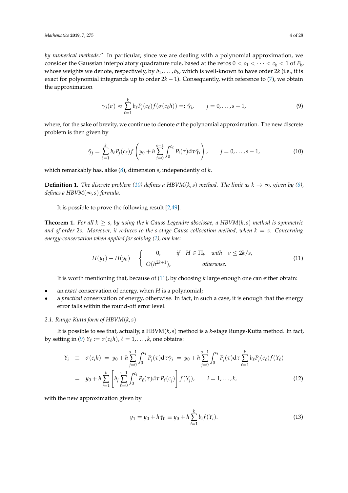*by numerical methods*." In particular, since we are dealing with a polynomial approximation, we consider the Gaussian interpolatory quadrature rule, based at the zeros  $0 < c_1 < \cdots < c_k < 1$  of  $P_k$ , whose weights we denote, respectively, by  $b_1, \ldots, b_k$ , which is well-known to have order 2 $k$  (i.e., it is exact for polynomial integrands up to order  $2k - 1$ ). Consequently, with reference to [\(7\)](#page-2-5), we obtain the approximation

<span id="page-4-1"></span>
$$
\gamma_j(\sigma) \approx \sum_{\ell=1}^k b_\ell P_j(c_\ell) f(\sigma(c_\ell h)) =: \hat{\gamma}_j, \qquad j = 0, \dots, s-1,
$$
\n(9)

where, for the sake of brevity, we continue to denote *σ* the polynomial approximation. The new discrete problem is then given by

$$
\hat{\gamma}_j = \sum_{\ell=1}^k b_\ell P_j(c_\ell) f\left(y_0 + h \sum_{i=0}^{s-1} \int_0^{c_\ell} P_i(\tau) d\tau \hat{\gamma}_i\right), \qquad j = 0, \ldots, s-1,
$$
\n(10)

which remarkably has, alike [\(8\)](#page-2-6), dimension *s*, independently of *k*.

**Definition 1.** *The discrete problem* [\(10\)](#page-3-0) *defines a HBVM*( $k, s$ ) *method. The limit as*  $k \to \infty$ *, given by* [\(8\)](#page-2-6)*, defines a HBVM*(∞,*s*) *formula.*

It is possible to prove the following result [\[2,](#page-25-8)[49\]](#page-26-11).

**Theorem 1.** For all  $k \geq s$ , by using the k Gauss-Legendre abscissae, a HBVM( $k, s$ ) method is symmetric *and of order* 2*s. Moreover, it reduces to the s-stage Gauss collocation method, when k* = *s. Concerning energy-conservation when applied for solving [\(1\)](#page-0-0), one has:*

<span id="page-4-4"></span><span id="page-4-0"></span>
$$
H(y_1) - H(y_0) = \begin{cases} 0, & \text{if } H \in \Pi_v \text{ with } v \le 2k/s, \\ O(h^{2k+1}), & \text{otherwise.} \end{cases}
$$
(11)

It is worth mentioning that, because of [\(11\)](#page-3-1), by choosing *k* large enough one can either obtain:

- an *exact* conservation of energy, when *H* is a polynomial;
- a *practical* conservation of energy, otherwise. In fact, in such a case, it is enough that the energy error falls within the round-off error level.

#### *2.1. Runge-Kutta form of HBVM*(*k*,*s*)

It is possible to see that, actually, a HBVM(*k*,*s*) method is a *k*-stage Runge-Kutta method. In fact, by setting in [\(9\)](#page-3-2)  $Y_{\ell} := \sigma(c_{\ell}h)$ ,  $\ell = 1, ..., k$ , one obtains:

<span id="page-4-3"></span><span id="page-4-2"></span>
$$
Y_i \equiv \sigma(c_i h) = y_0 + h \sum_{j=0}^{s-1} \int_0^{c_i} P_j(\tau) d\tau \hat{\gamma}_j = y_0 + h \sum_{j=0}^{s-1} \int_0^{c_i} P_j(\tau) d\tau \sum_{\ell=1}^k b_\ell P_j(c_\ell) f(Y_\ell)
$$
  

$$
= y_0 + h \sum_{j=1}^k \left[ b_j \sum_{\ell=0}^{s-1} \int_0^{c_i} P_\ell(\tau) d\tau P_\ell(c_j) \right] f(Y_j), \qquad i = 1, ..., k,
$$
 (12)

with the new approximation given by

$$
y_1 = y_0 + h\hat{\gamma}_0 \equiv y_0 + h\sum_{i=1}^k b_i f(Y_i).
$$
 (13)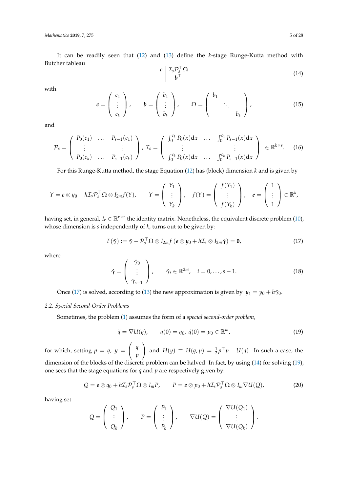*Mathematics* **2019**, *7*, 275 5 of 28

It can be readily seen that [\(12\)](#page-3-3) and [\(13\)](#page-3-4) define the *k*-stage Runge-Kutta method with Butcher tableau

$$
\frac{c}{b^{\top}} \frac{\mathcal{I}_s \mathcal{P}_s^{\top} \Omega}{b^{\top}}
$$
 (14)

<span id="page-5-1"></span>with

<span id="page-5-0"></span>
$$
c = \begin{pmatrix} c_1 \\ \vdots \\ c_k \end{pmatrix}, \qquad b = \begin{pmatrix} b_1 \\ \vdots \\ b_k \end{pmatrix}, \qquad \Omega = \begin{pmatrix} b_1 \\ & \ddots \\ & & b_k \end{pmatrix}, \tag{15}
$$

and

$$
\mathcal{P}_s = \left( \begin{array}{ccc} P_0(c_1) & \dots & P_{s-1}(c_1) \\ \vdots & & \vdots \\ P_0(c_k) & \dots & P_{s-1}(c_k) \end{array} \right), \ \mathcal{I}_s = \left( \begin{array}{ccc} \int_0^{c_1} P_0(x) dx & \dots & \int_0^{c_1} P_{s-1}(x) dx \\ \vdots & & \vdots \\ \int_0^{c_k} P_0(x) dx & \dots & \int_0^{c_k} P_{s-1}(x) dx \end{array} \right) \ \in \mathbb{R}^{k \times s}.
$$
 (16)

For this Runge-Kutta method, the stage Equation [\(12\)](#page-3-3) has (block) dimension *k* and is given by

<span id="page-5-4"></span>
$$
Y = e \otimes y_0 + h \mathcal{I}_s \mathcal{P}_s^{\top} \Omega \otimes I_{2m} f(Y), \qquad Y = \begin{pmatrix} Y_1 \\ \vdots \\ Y_k \end{pmatrix}, \quad f(Y) = \begin{pmatrix} f(Y_1) \\ \vdots \\ f(Y_k) \end{pmatrix}, \quad e = \begin{pmatrix} 1 \\ \vdots \\ 1 \end{pmatrix} \in \mathbb{R}^k,
$$

having set, in general,  $I_r \in \mathbb{R}^{r \times r}$  the identity matrix. Nonetheless, the equivalent discrete problem [\(10\)](#page-3-0), whose dimension is *s* independently of *k*, turns out to be given by:

$$
F(\hat{\gamma}) := \hat{\gamma} - \mathcal{P}_s^{\perp} \Omega \otimes I_{2m} f\left(e \otimes y_0 + h\mathcal{I}_s \otimes I_{2m} \hat{\gamma}\right) = \mathbf{0},\tag{17}
$$

where

$$
\hat{\gamma} = \begin{pmatrix} \hat{\gamma}_0 \\ \vdots \\ \hat{\gamma}_{s-1} \end{pmatrix}, \qquad \hat{\gamma}_i \in \mathbb{R}^{2m}, \quad i = 0, \dots, s-1.
$$
 (18)

Once [\(17\)](#page-4-0) is solved, according to [\(13\)](#page-3-4) the new approximation is given by  $y_1 = y_0 + h\hat{\gamma}_0$ .

#### *2.2. Special Second-Order Problems*

Sometimes, the problem [\(1\)](#page-0-0) assumes the form of a *special second-order problem*,

$$
\ddot{q} = \nabla U(q), \qquad q(0) = q_0, \ \dot{q}(0) = p_0 \in \mathbb{R}^m,
$$
\n(19)

for which, setting  $p = \dot{q}$ ,  $y =$  *q p* and  $H(y) \equiv H(q, p) = \frac{1}{2}p^{\top}p - U(q)$ . In such a case, the dimension of the blocks of the discrete problem can be halved. In fact, by using [\(14\)](#page-4-1) for solving [\(19\)](#page-4-2), one sees that the stage equations for *q* and *p* are respectively given by:

<span id="page-5-2"></span>
$$
Q = \boldsymbol{e} \otimes q_0 + h \mathcal{I}_s \mathcal{P}_s^{\top} \Omega \otimes I_m P, \qquad P = \boldsymbol{e} \otimes p_0 + h \mathcal{I}_s \mathcal{P}_s^{\top} \Omega \otimes I_m \nabla U(Q), \qquad (20)
$$

having set

<span id="page-5-3"></span>
$$
Q = \begin{pmatrix} Q_1 \\ \vdots \\ Q_k \end{pmatrix}, \qquad P = \begin{pmatrix} P_1 \\ \vdots \\ P_k \end{pmatrix}, \qquad \nabla U(Q) = \begin{pmatrix} \nabla U(Q_1) \\ \vdots \\ \nabla U(Q_k) \end{pmatrix}.
$$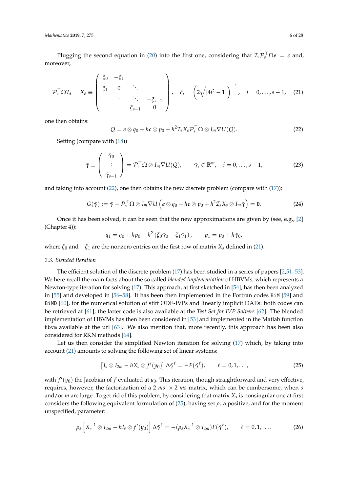*Mathematics* **2019**, *7*, 275 6 of 28

Plugging the second equation in [\(20\)](#page-4-3) into the first one, considering that  $\mathcal{I}_s \mathcal{P}_s^{\perp} \Omega e = c$  and, moreover,

$$
\mathcal{P}_s^{\top} \Omega \mathcal{I}_s = X_s \equiv \begin{pmatrix} \xi_0 & -\xi_1 \\ \xi_1 & 0 & \ddots \\ & \ddots & \ddots & -\xi_{s-1} \\ & & \xi_{s-1} & 0 \end{pmatrix}, \quad \xi_i = \left(2\sqrt{|4i^2 - 1|}\right)^{-1}, \quad i = 0, \ldots, s-1, \quad (21)
$$

<span id="page-6-5"></span>one then obtains:

<span id="page-6-1"></span><span id="page-6-0"></span>
$$
Q = e \otimes q_0 + hc \otimes p_0 + h^2 \mathcal{I}_s X_s \mathcal{P}_s^{\top} \Omega \otimes I_m \nabla U(Q).
$$
 (22)

Setting (compare with [\(18\)](#page-4-4))

$$
\bar{\gamma} \equiv \left( \begin{array}{c} \bar{\gamma}_0 \\ \vdots \\ \bar{\gamma}_{s-1} \end{array} \right) = \mathcal{P}_s^{\top} \Omega \otimes I_m \nabla U(Q), \qquad \bar{\gamma}_i \in \mathbb{R}^m, \quad i = 0, \ldots, s-1,
$$
 (23)

and taking into account [\(22\)](#page-5-0), one then obtains the new discrete problem (compare with [\(17\)](#page-4-0)):

$$
G(\bar{\gamma}) := \bar{\gamma} - \mathcal{P}_s^{\top} \Omega \otimes I_m \nabla U \left( e \otimes q_0 + h c \otimes p_0 + h^2 \mathcal{I}_s X_s \otimes I_m \bar{\gamma} \right) = \mathbf{0}.
$$
 (24)

Once it has been solved, it can be seen that the new approximations are given by (see, e.g.,  $[2]$ (Chapter 4)):

$$
q_1 = q_0 + hp_0 + h^2 (\xi_0 \bar{\gamma}_0 - \xi_1 \bar{\gamma}_1), \qquad p_1 = p_0 + h \bar{\gamma}_0,
$$

where  $\xi_0$  and  $-\xi_1$  are the nonzero entries on the first row of matrix  $X_s$  defined in [\(21\)](#page-5-1).

#### *2.3. Blended Iteration*

<span id="page-6-6"></span>The efficient solution of the discrete problem [\(17\)](#page-4-0) has been studied in a series of papers [\[2](#page-25-8)[,51–](#page-27-0)[53\]](#page-27-1). We here recall the main facts about the so called *blended implementation* of HBVMs, which represents a Newton-type iteration for solving [\(17\)](#page-4-0). This approach, at first sketched in [\[54\]](#page-27-2), has then been analyzed in [\[55\]](#page-27-3) and developed in [\[56](#page-27-4)[–58\]](#page-27-5). It has been then implemented in the Fortran codes BiM [\[59\]](#page-27-6) and BiMD [\[60\]](#page-27-7), for the numerical solution of stiff ODE-IVPs and linearly implicit DAEs: both codes can be retrieved at [\[61\]](#page-27-8); the latter code is also available at the *Test Set for IVP Solvers* [\[62\]](#page-27-9). The blended implementation of HBVMs has then been considered in [\[53\]](#page-27-1) and implemented in the Matlab function hbvm available at the url [\[63\]](#page-27-10). We also mention that, more recently, this approach has been also considered for RKN methods [\[64\]](#page-27-11).

Let us then consider the simplified Newton iteration for solving [\(17\)](#page-4-0) which, by taking into account [\(21\)](#page-5-1) amounts to solving the following set of linear systems:

<span id="page-6-3"></span><span id="page-6-2"></span>
$$
\left[I_s \otimes I_{2m} - hX_s \otimes f'(y_0)\right] \Delta \hat{\gamma}^{\ell} = -F(\hat{\gamma}^{\ell}), \qquad \ell = 0, 1, \ldots,
$$
\n(25)

with *f* ′ (*y*0) the Jacobian of *f* evaluated at *y*0. This iteration, though straightforward and very effective, requires, however, the factorization of a 2  $\text{ms} \times 2 \text{ ms}$  matrix, which can be cumbersome, when *s* and/or *m* are large. To get rid of this problem, by considering that matrix *X<sup>s</sup>* is nonsingular one at first considers the following equivalent formulation of [\(25\)](#page-5-2), having set  $\rho_s$  a positive, and for the moment unspecified, parameter:

<span id="page-6-4"></span>
$$
\rho_s\left[X_s^{-1}\otimes I_{2m}-hI_s\otimes f'(y_0)\right]\Delta\hat{\gamma}^\ell=-\left(\rho_sX_s^{-1}\otimes I_{2m}\right)F(\hat{\gamma}^\ell),\qquad \ell=0,1,\ldots
$$
 (26)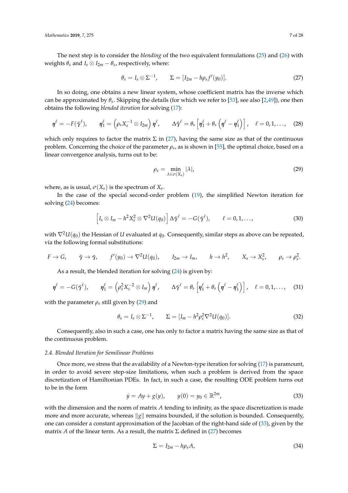The next step is to consider the *blending* of the two equivalent formulations [\(25\)](#page-5-2) and [\(26\)](#page-5-3) with weights  $\theta_s$  and  $I_s \otimes I_{2m} - \theta_s$ , respectively, where:

<span id="page-7-0"></span>
$$
\theta_s = I_s \otimes \Sigma^{-1}, \qquad \Sigma = [I_{2m} - h\rho_s f'(y_0)]. \tag{27}
$$

In so doing, one obtains a new linear system, whose coefficient matrix has the inverse which can be approximated by *θ<sup>s</sup>* . Skipping the details (for which we refer to [\[53\]](#page-27-1), see also [\[2,](#page-25-8)[49\]](#page-26-11)), one then obtains the following *blended iteration* for solving [\(17\)](#page-4-0):

$$
\boldsymbol{\eta}^{\ell}=-F(\hat{\boldsymbol{\gamma}}^{\ell}), \qquad \boldsymbol{\eta}_1^{\ell}=\left(\rho_s X_s^{-1}\otimes I_{2m}\right)\boldsymbol{\eta}^{\ell}, \qquad \Delta\hat{\boldsymbol{\gamma}}^{\ell}=\theta_s\left[\boldsymbol{\eta}_1^{\ell}+\theta_s\left(\boldsymbol{\eta}^{\ell}-\boldsymbol{\eta}_1^{\ell}\right)\right], \quad \ell=0,1,\ldots, \quad (28)
$$

which only requires to factor the matrix  $\Sigma$  in [\(27\)](#page-6-0), having the same size as that of the continuous problem. Concerning the choice of the parameter *ρ<sup>s</sup>* , as is shown in [\[55\]](#page-27-3), the optimal choice, based on a linear convergence analysis, turns out to be:

$$
\rho_s = \min_{\lambda \in \sigma(X_s)} |\lambda|,\tag{29}
$$

where, as is usual,  $\sigma(X_s)$  is the spectrum of  $X_s$ .

In the case of the special second-order problem [\(19\)](#page-4-2), the simplified Newton iteration for solving [\(24\)](#page-5-4) becomes:

<span id="page-7-1"></span>
$$
\left[I_s\otimes I_m - h^2X_s^2\otimes \nabla^2 U(q_0)\right]\Delta\bar{\gamma}^\ell = -G(\bar{\gamma}^\ell), \qquad \ell=0,1,\ldots,
$$
\n(30)

with  $\nabla^2 U(q_0)$  the Hessian of *U* evaluated at  $q_0$ . Consequently, similar steps as above can be repeated, via the following formal substitutions:

$$
F \to G
$$
,  $\hat{\gamma} \to \tilde{\gamma}$ ,  $f'(y_0) \to \nabla^2 U(q_0)$ ,  $I_{2m} \to I_m$ ,  $h \to h^2$ ,  $X_s \to X_s^2$ ,  $\rho_s \to \rho_s^2$ .

As a result, the blended iteration for solving [\(24\)](#page-5-4) is given by:

$$
\boldsymbol{\eta}^{\ell} = -G(\bar{\boldsymbol{\gamma}}^{\ell}), \qquad \boldsymbol{\eta}_{1}^{\ell} = \left(\rho_{s}^{2}X_{s}^{-2} \otimes I_{m}\right)\boldsymbol{\eta}^{\ell}, \qquad \Delta\bar{\boldsymbol{\gamma}}^{\ell} = \theta_{s}\left[\boldsymbol{\eta}_{1}^{\ell} + \theta_{s}\left(\boldsymbol{\eta}^{\ell} - \boldsymbol{\eta}_{1}^{\ell}\right)\right], \quad \ell = 0, 1, \ldots, \quad (31)
$$

with the parameter  $\rho_s$  still given by [\(29\)](#page-6-1) and

$$
\theta_s = I_s \otimes \Sigma^{-1}, \qquad \Sigma = [I_m - h^2 \rho_s^2 \nabla^2 U(q_0)]. \tag{32}
$$

Consequently, also in such a case, one has only to factor a matrix having the same size as that of the continuous problem.

#### *2.4. Blended Iteration for Semilinear Problems*

Once more, we stress that the availability of a Newton-type iteration for solving [\(17\)](#page-4-0) is paramount, in order to avoid severe step-size limitations, when such a problem is derived from the space discretization of Hamiltonian PDEs. In fact, in such a case, the resulting ODE problem turns out to be in the form

<span id="page-7-2"></span>
$$
\dot{y} = Ay + g(y), \qquad y(0) = y_0 \in \mathbb{R}^{2m}, \tag{33}
$$

with the dimension and the norm of matrix *A* tending to infinity, as the space discretization is made more and more accurate, whereas  $\|g\|$  remains bounded, if the solution is bounded. Consequently, one can consider a constant approximation of the Jacobian of the right-hand side of [\(33\)](#page-6-2), given by the matrix *A* of the linear term. As a result, the matrix  $\Sigma$  defined in [\(27\)](#page-6-0) becomes

$$
\Sigma = I_{2m} - h\rho_s A,\tag{34}
$$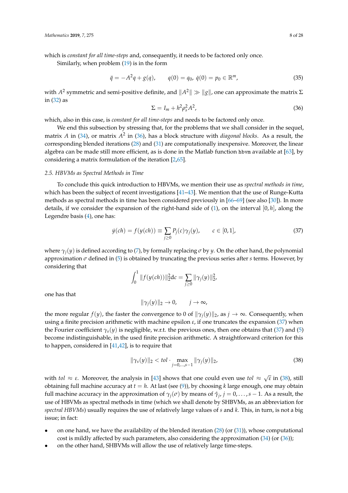which is *constant for all time-steps* and, consequently, it needs to be factored only once.

Similarly, when problem [\(19\)](#page-4-2) is in the form

<span id="page-8-1"></span>
$$
\ddot{q} = -A^2 q + g(q), \qquad q(0) = q_0, \ \dot{q}(0) = p_0 \in \mathbb{R}^m,
$$
\n(35)

<span id="page-8-0"></span>with  $A^2$  symmetric and semi-positive definite, and  $||A^2|| \gg ||g||$ , one can approximate the matrix  $\Sigma$ in [\(32\)](#page-6-3) as

$$
\Sigma = I_m + h^2 \rho_s^2 A^2,\tag{36}
$$

which, also in this case, is *constant for all time-steps* and needs to be factored only once.

We end this subsection by stressing that, for the problems that we shall consider in the sequel, matrix *A* in [\(34\)](#page-6-4), or matrix  $A^2$  in [\(36\)](#page-7-0), has a block structure with *diagonal blocks*. As a result, the corresponding blended iterations [\(28\)](#page-6-5) and [\(31\)](#page-6-6) are computationally inexpensive. Moreover, the linear algebra can be made still more efficient, as is done in the Matlab function hbvm available at [\[63\]](#page-27-10), by considering a matrix formulation of the iteration [\[2,](#page-25-8)[65\]](#page-27-12).

#### <span id="page-8-2"></span>*2.5. HBVMs as Spectral Methods in Time*

To conclude this quick introduction to HBVMs, we mention their use as *spectral methods in time*, which has been the subject of recent investigations [\[41–](#page-26-7)[43\]](#page-26-8). We mention that the use of Runge-Kutta methods as spectral methods in time has been considered previously in [\[66](#page-27-13)[–69\]](#page-27-14) (see also [\[30\]](#page-26-12)). In more details, if we consider the expansion of the right-hand side of [\(1\)](#page-0-0), on the interval [0, *h*], along the Legendre basis [\(4\)](#page-2-3), one has:

<span id="page-8-4"></span>
$$
\dot{y}(ch) = f(y(ch)) \equiv \sum_{j \ge 0} P_j(c)\gamma_j(y), \qquad c \in [0, 1], \tag{37}
$$

where  $\gamma_i(y)$  is defined according to [\(7\)](#page-2-5), by formally replacing  $\sigma$  by  $y$ . On the other hand, the polynomial approximation *σ* defined in [\(5\)](#page-2-2) is obtained by truncating the previous series after *s* terms. However, by considering that

$$
\int_0^1 \|f(y(ch))\|_2^2 \mathrm{d}c = \sum_{j \geq 0} \|\gamma_j(y)\|_2^2,
$$

<span id="page-8-5"></span>one has that

$$
\|\gamma_j(y)\|_2\to 0, \qquad j\to\infty,
$$

the more regular  $f(y)$ , the faster the convergence to 0 of  $\|\gamma_i(y)\|_2$ , as  $j \to \infty$ . Consequently, when using a finite precision arithmetic with machine epsilon *ε*, if one truncates the expansion [\(37\)](#page-7-1) when the Fourier coefficient  $\gamma_s(y)$  is negligible, w.r.t. the previous ones, then one obtains that [\(37\)](#page-7-1) and [\(5\)](#page-2-2) become indistinguishable, in the used finite precision arithmetic. A straightforward criterion for this to happen, considered in [\[41,](#page-26-7)[42\]](#page-26-14), is to require that

<span id="page-8-3"></span>
$$
\|\gamma_s(y)\|_2 < tol \cdot \max_{j=0,\dots,s-1} \|\gamma_j(y)\|_2,\tag{38}
$$

with *tol*  $\approx \varepsilon$ . Moreover, the analysis in [\[43\]](#page-26-8) shows that one could even use *tol*  $\approx \sqrt{\varepsilon}$  in [\(38\)](#page-7-2), still obtaining full machine accuracy at *t* = *h*. At last (see [\(9\)](#page-3-2)), by choosing *k* large enough, one may obtain full machine accuracy in the approximation of  $\gamma_j(\sigma)$  by means of  $\hat{\gamma}_j$ ,  $j = 0, \ldots, s - 1$ . As a result, the use of HBVMs as spectral methods in time (which we shall denote by SHBVMs, as an abbreviation for *spectral HBVMs*) usually requires the use of relatively large values of *s* and *k*. This, in turn, is not a big issue; in fact:

- on one hand, we have the availability of the blended iteration  $(28)$  (or  $(31)$ ), whose computational cost is mildly affected by such parameters, also considering the approximation [\(34\)](#page-6-4) (or [\(36\)](#page-7-0));
- on the other hand, SHBVMs will allow the use of relatively large time-steps.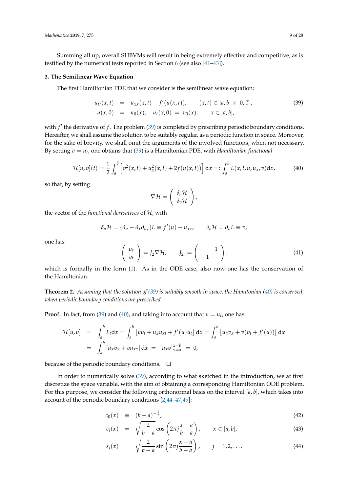Summing all up, overall SHBVMs will result in being extremely effective and competitive, as is testified by the numerical tests reported in Section [6](#page-17-0) (see also [\[41–](#page-26-7)[43\]](#page-26-8)).

#### **3. The Semilinear Wave Equation**

The first Hamiltonian PDE that we consider is the semilinear wave equation:

<span id="page-9-1"></span><span id="page-9-0"></span>
$$
u_{tt}(x,t) = u_{xx}(x,t) - f'(u(x,t)), \qquad (x,t) \in [a,b] \times [0,T],
$$
  
\n
$$
u(x,0) = u_0(x), \quad u_t(x,0) = v_0(x), \qquad x \in [a,b],
$$
\n(39)

<span id="page-9-6"></span>with *f'* the derivative of *f*. The problem [\(39\)](#page-8-1) is completed by prescribing periodic boundary conditions. Hereafter, we shall assume the solution to be suitably regular, as a periodic function in space. Moreover, for the sake of brevity, we shall omit the arguments of the involved functions, when not necessary. By setting  $v = u_t$ , one obtains that [\(39\)](#page-8-1) is a Hamiltonian PDE, with *Hamiltonian functional* 

$$
\mathcal{H}[u,v](t) = \frac{1}{2} \int_{a}^{b} \left[ v^2(x,t) + u_x^2(x,t) + 2f(u(x,t)) \right] dx =: \int_{a}^{b} L(x,t,u,u_x,v) dx,
$$
 (40)

so that, by setting

<span id="page-9-7"></span><span id="page-9-5"></span>
$$
\nabla \mathcal{H} = \left( \begin{array}{c} \delta_u \mathcal{H} \\ \delta_v \mathcal{H} \end{array} \right),
$$

the vector of the *functional derivatives* of H, with

$$
\delta_u \mathcal{H} = (\partial_u - \partial_x \partial_{u_x}) L \equiv f'(u) - u_{xx}, \qquad \delta_v \mathcal{H} = \partial_v L \equiv v,
$$

one has:

<span id="page-9-2"></span>
$$
\left(\begin{array}{c} u_t \\ v_t \end{array}\right) = J_2 \nabla \mathcal{H}, \qquad J_2 := \left(\begin{array}{c} 1 \\ -1 \end{array}\right), \tag{41}
$$

<span id="page-9-8"></span>which is formally in the form [\(1\)](#page-0-0). As in the ODE case, also now one has the conservation of the Hamiltonian.

**Theorem 2.** *Assuming that the solution of [\(39\)](#page-8-1) is suitably smooth in space, the Hamitonian [\(40\)](#page-8-2) is conserved, when periodic boundary conditions are prescribed.*

**Proof.** In fact, from [\(39\)](#page-8-1) and [\(40\)](#page-8-2), and taking into account that  $v = u_t$ , one has:

<span id="page-9-4"></span><span id="page-9-3"></span>
$$
\dot{\mathcal{H}}[u,v] = \int_{a}^{b} L_{t} dx = \int_{a}^{b} [vv_{t} + u_{x}u_{xt} + f'(u)u_{t}] dx = \int_{a}^{b} [u_{x}v_{x} + v(v_{t} + f'(u))] dx
$$
  
=  $\int_{a}^{b} [u_{x}v_{x} + vu_{xx}] dx = [u_{x}v]_{x=a}^{x=b} = 0,$ 

because of the periodic boundary conditions.  $\Box$ 

In order to numerically solve [\(39\)](#page-8-1), according to what sketched in the introduction, we at first discretize the space variable, with the aim of obtaining a corresponding Hamiltonian ODE problem. For this purpose, we consider the following orthonormal basis on the interval [*a*, *b*], which takes into account of the periodic boundary conditions [\[2,](#page-25-8)[44](#page-26-9)[–47,](#page-26-15)[49\]](#page-26-11):

$$
c_0(x) \equiv (b-a)^{-\frac{1}{2}}, \tag{42}
$$

$$
c_j(x) = \sqrt{\frac{2}{b-a}} \cos\left(2\pi j \frac{x-a}{b-a}\right), \qquad x \in [a, b], \tag{43}
$$

$$
s_j(x) = \sqrt{\frac{2}{b-a}} \sin\left(2\pi j \frac{x-a}{b-a}\right), \qquad j = 1, 2, .... \tag{44}
$$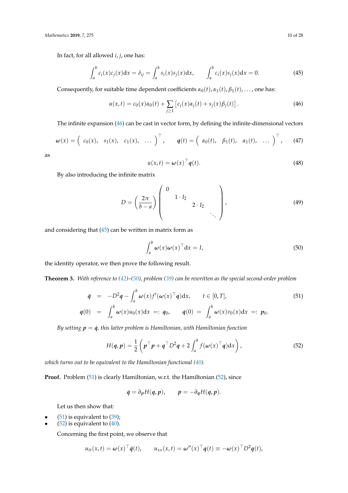In fact, for all allowed *i*, *j*, one has:

$$
\int_{a}^{b} c_{i}(x)c_{j}(x)dx = \delta_{ij} = \int_{a}^{b} s_{i}(x)s_{j}(x)dx, \qquad \int_{a}^{b} c_{i}(x)s_{j}(x)dx = 0.
$$
 (45)

Consequently, for suitable time dependent coefficients  $\alpha_0(t)$ ,  $\alpha_1(t)$ ,  $\beta_1(t)$ , ..., one has:

$$
u(x,t) = c_0(x)\alpha_0(t) + \sum_{j\geq 1} [c_j(x)\alpha_j(t) + s_j(x)\beta_j(t)].
$$
\n(46)

The infinite expansion [\(46\)](#page-9-0) can be cast in vector form, by defining the infinite-dimensional vectors

$$
\omega(x) = \left( c_0(x), s_1(x), c_1(x), \dots \right)^{\top}, \quad q(t) = \left( \alpha_0(t), \beta_1(t), \alpha_1(t), \dots \right)^{\top}, \quad (47)
$$

as

$$
u(x,t) = \omega(x)^\top q(t). \tag{48}
$$

By also introducing the infinite matrix

<span id="page-10-1"></span>
$$
D = \left(\frac{2\pi}{b-a}\right) \left(\begin{array}{cccc} 0 & & & \\ & 1 \cdot I_2 & & \\ & & 2 \cdot I_2 & \\ & & & \ddots \end{array}\right), \tag{49}
$$

and considering that  $(45)$  can be written in matrix form as

$$
\int_{a}^{b} \omega(x)\omega(x)^{\top} dx = I,
$$
\n(50)

the identity operator, we then prove the following result.

**Theorem 3.** *With reference to [\(42\)](#page-8-3)–[\(50\)](#page-9-2), problem [\(39\)](#page-8-1) can be rewritten as the special second-order problem*

$$
\ddot{q} = -D^2 q - \int_a^b \omega(x) f'(\omega(x)^\top q) dx, \qquad t \in [0, T],
$$
\n(51)  
\n
$$
q(0) = \int_a^b \omega(x) u_0(x) dx =: q_0, \qquad \dot{q}(0) = \int_a^b \omega(x) v_0(x) dx =: p_0.
$$

<span id="page-10-0"></span>*By setting*  $p = \dot{q}$ , this latter problem is Hamiltonian, with Hamiltonian function

$$
H(q, p) = \frac{1}{2} \left( p^\top p + q^\top D^2 q + 2 \int_a^b f(\boldsymbol{\omega}(x)^\top q) dx \right), \tag{52}
$$

*which turns out to be equivalent to the Hamiltonian functional [\(40\)](#page-8-2).* 

Proof. Problem [\(51\)](#page-9-3) is clearly Hamiltonian, w.r.t. the Hamiltonian [\(52\)](#page-9-4), since

 $\dot{q} = \partial_p H(q, p), \qquad \dot{p} = -\partial_q H(q, p).$ 

Let us then show that:

- $(51)$  is equivalent to  $(39)$ ;
- $(52)$  is equivalent to  $(40)$ .

Concerning the first point, we observe that

$$
u_{tt}(x,t) = \boldsymbol{\omega}(x)^{\top} \ddot{\boldsymbol{q}}(t), \qquad u_{xx}(x,t) = \boldsymbol{\omega}''(x)^{\top} \boldsymbol{q}(t) \equiv -\boldsymbol{\omega}(x)^{\top} D^2 \boldsymbol{q}(t),
$$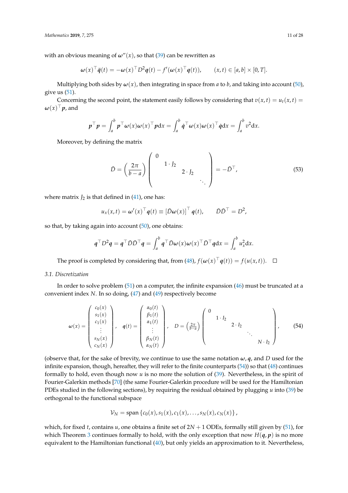with an obvious meaning of  $\omega''(x)$ , so that [\(39\)](#page-8-1) can be rewritten as

$$
\boldsymbol{\omega}(x)^{\top} \ddot{\boldsymbol{q}}(t) = -\boldsymbol{\omega}(x)^{\top} D^{2} \boldsymbol{q}(t) - f'(\boldsymbol{\omega}(x)^{\top} \boldsymbol{q}(t)), \qquad (x, t) \in [a, b] \times [0, T].
$$

Multiplying both sides by  $\omega(x)$ , then integrating in space from *a* to *b*, and taking into account [\(50\)](#page-9-2), give us [\(51\)](#page-9-3).

Concerning the second point, the statement easily follows by considering that  $v(x, t) = u_t(x, t)$  $\boldsymbol{\omega}(x)$   $\vdash p$ , and

$$
p^{\top} p = \int_a^b p^{\top} \omega(x) \omega(x)^{\top} p \mathrm{d}x = \int_a^b \dot{q}^{\top} \omega(x) \omega(x)^{\top} \dot{q} \mathrm{d}x = \int_a^b v^2 \mathrm{d}x.
$$

Moreover, by defining the matrix

<span id="page-11-1"></span>
$$
\bar{D} = \left(\frac{2\pi}{b-a}\right) \begin{pmatrix} 0 & & & \\ & 1 \cdot I_2 & & \\ & & 2 \cdot I_2 & \\ & & & \ddots \end{pmatrix} = -\bar{D}^\top,\tag{53}
$$

where matrix  $J_2$  is that defined in  $(41)$ , one has:

$$
u_x(x,t) = \boldsymbol{\omega}'(x)^{\top} \boldsymbol{q}(t) \equiv \left[\bar{D}\boldsymbol{\omega}(x)\right]^{\top} \boldsymbol{q}(t), \qquad \bar{D}\bar{D}^{\top} = D^2,
$$

so that, by taking again into account  $(50)$ , one obtains:

$$
q^{\top}D^2q = q^{\top}\bar{D}\bar{D}^{\top}q = \int_a^b q^{\top}\bar{D}\omega(x)\omega(x)^{\top}\bar{D}^{\top}q\mathrm{d}x = \int_a^b u_x^2\mathrm{d}x.
$$

The proof is completed by considering that, from [\(48\)](#page-9-5),  $f(\boldsymbol{\omega}(x) | \boldsymbol{q}(t)) = f(u(x, t)).$ 

#### *3.1. Discretization*

In order to solve problem [\(51\)](#page-9-3) on a computer, the infinite expansion [\(46\)](#page-9-0) must be truncated at a convenient index *N*. In so doing, [\(47\)](#page-9-6) and [\(49\)](#page-9-7) respectively become

$$
\omega(x) = \begin{pmatrix} c_0(x) \\ s_1(x) \\ c_1(x) \\ \vdots \\ s_N(x) \\ c_N(x) \end{pmatrix}, \quad \boldsymbol{q}(t) = \begin{pmatrix} \alpha_0(t) \\ \beta_1(t) \\ \alpha_1(t) \\ \vdots \\ \beta_N(t) \\ \alpha_N(t) \end{pmatrix}, \quad D = \left(\frac{2\pi}{b-a}\right) \begin{pmatrix} 0 \\ 1 \cdot I_2 \\ 2 \cdot I_2 \\ \vdots \\ 0 \cdot I_{r-1} \end{pmatrix}, \quad (54)
$$

<span id="page-11-0"></span>(observe that, for the sake of brevity, we continue to use the same notation *ω*, *q*, and *D* used for the infinite expansion, though, hereafter, they will refer to the finite counterparts [\(54\)](#page-10-0)) so that [\(48\)](#page-9-5) continues formally to hold, even though now *u* is no more the solution of [\(39\)](#page-8-1). Nevertheless, in the spirit of Fourier-Galerkin methods [\[70\]](#page-27-15) (the same Fourier-Galerkin procedure will be used for the Hamiltonian PDEs studied in the following sections), by requiring the residual obtained by plugging *u* into [\(39\)](#page-8-1) be orthogonal to the functional subspace

<span id="page-11-2"></span>
$$
V_N = \text{span} \{c_0(x), s_1(x), c_1(x), \ldots, s_N(x), c_N(x)\},
$$

which, for fixed *t*, contains *u*, one obtains a finite set of  $2N + 1$  ODEs, formally still given by [\(51\)](#page-9-3), for which Theorem [3](#page-9-8) continues formally to hold, with the only exception that now  $H(q, p)$  is no more equivalent to the Hamiltonian functional [\(40\)](#page-8-2), but only yields an approximation to it. Nevertheless,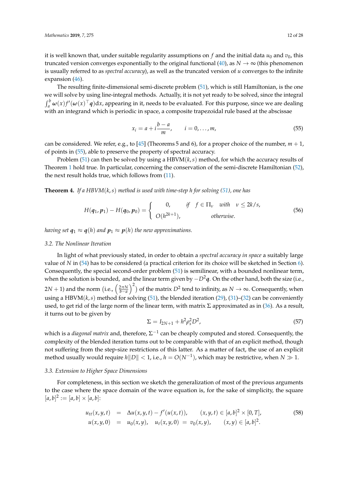it is well known that, under suitable regularity assumptions on  $f$  and the initial data  $u_0$  and  $v_0$ , this truncated version converges exponentially to the original functional [\(40\)](#page-8-2), as  $N \to \infty$  (this phenomenon is usually referred to as *spectral accuracy*), as well as the truncated version of *u* converges to the infinite expansion [\(46\)](#page-9-0).

<span id="page-12-3"></span>The resulting finite-dimensional semi-discrete problem [\(51\)](#page-9-3), which is still Hamiltonian, is the one we will solve by using line-integral methods. Actually, it is not yet ready to be solved, since the integral  $\int_a^b \omega(x) f'(\omega(x)^\top q) dx$ , appearing in it, needs to be evaluated. For this purpose, since we are dealing with an integrand which is periodic in space, a composite trapezoidal rule based at the abscissae

<span id="page-12-1"></span>
$$
x_i = a + i\frac{b-a}{m}, \qquad i = 0, \dots, m,
$$
\n
$$
(55)
$$

can be considered. We refer, e.g., to [\[45\]](#page-26-16) (Theorems 5 and 6), for a proper choice of the number,  $m + 1$ , of points in [\(55\)](#page-11-1), able to preserve the property of spectral accuracy.

Problem [\(51\)](#page-9-3) can then be solved by using a HBVM(*k*,*s*) method, for which the accuracy results of Theorem [1](#page-3-5) hold true. In particular, concerning the conservation of the semi-discrete Hamiltonian [\(52\)](#page-9-4), the next result holds true, which follows from [\(11\)](#page-3-1).

**Theorem 4.** *If a HBVM*(*k*,*s*) *method is used with time-step h for solving [\(51\)](#page-9-3), one has*

<span id="page-12-4"></span>
$$
H(q_1, p_1) - H(q_0, p_0) = \begin{cases} 0, & \text{if } f \in \Pi_v \text{ with } v \le 2k/s, \\ O(h^{2k+1}), & \text{otherwise.} \end{cases} \tag{56}
$$

<span id="page-12-2"></span>*having set*  $q_1 \approx q(h)$  *and*  $p_1 \approx p(h)$  *the new approximations.* 

#### *3.2. The Nonlinear Iteration*

In light of what previously stated, in order to obtain a *spectral accuracy in space* a suitably large value of *N* in [\(54\)](#page-10-0) has to be considered (a practical criterion for its choice will be sketched in Section [6\)](#page-17-0). Consequently, the special second-order problem [\(51\)](#page-9-3) is semilinear, with a bounded nonlinear term, when the solution is bounded, and the linear term given by <sup>−</sup>*D*2*q*. On the other hand, both the size (i.e.,  $2N + 1$ ) and the norm (i.e.,  $\left(\frac{2\pi N}{b-a}\right)$  $\int_0^2$ ) of the matrix  $D^2$  tend to infinity, as  $N \to \infty$ . Consequently, when using a HBVM(*k*,*s*) method for solving [\(51\)](#page-9-3), the blended iteration [\(29\)](#page-6-1), [\(31\)](#page-6-6)–[\(32\)](#page-6-3) can be conveniently used, to get rid of the large norm of the linear term, with matrix  $\Sigma$  approximated as in [\(36\)](#page-7-0). As a result, it turns out to be given by

$$
\Sigma = I_{2N+1} + h^2 \rho_s^2 D^2,\tag{57}
$$

<span id="page-12-5"></span>which is a *diagonal matrix* and, therefore,  $\Sigma^{-1}$  can be cheaply computed and stored. Consequently, the complexity of the blended iteration turns out to be comparable with that of an explicit method, though not suffering from the step-size restrictions of this latter. As a matter of fact, the use of an explicit method usually would require  $h||D|| < 1$ , i.e.,  $h = O(N^{-1})$ , which may be restrictive, when  $N \gg 1$ .

#### *3.3. Extension to Higher Space Dimensions*

<span id="page-12-0"></span>For completeness, in this section we sketch the generalization of most of the previous arguments to the case where the space domain of the wave equation is, for the sake of simplicity, the square  $[a, b]^2 := [a, b] \times [a, b]$ :

<span id="page-12-6"></span>
$$
u_{tt}(x,y,t) = \Delta u(x,y,t) - f'(u(x,t)), \qquad (x,y,t) \in [a,b]^2 \times [0,T],
$$
  
\n
$$
u(x,y,0) = u_0(x,y), \quad u_t(x,y,0) = v_0(x,y), \qquad (x,y) \in [a,b]^2.
$$
\n(58)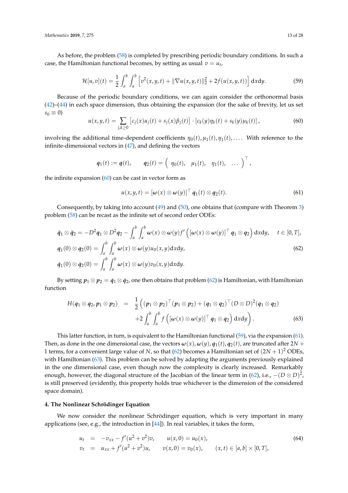*Mathematics* **2019**, *7*, 275 13 of 28

As before, the problem [\(58\)](#page-11-2) is completed by prescribing periodic boundary conditions. In such a case, the Hamiltonian functional becomes, by setting as usual  $v = u_t$ ,

<span id="page-13-0"></span>
$$
\mathcal{H}[u,v](t) = \frac{1}{2} \int_a^b \int_a^b \left[ v^2(x,y,t) + ||\nabla u(x,y,t)||_2^2 + 2f(u(x,y,t)) \right] dxdy.
$$
 (59)

Because of the periodic boundary conditions, we can again consider the orthonormal basis [\(42\)](#page-8-3)–[\(44\)](#page-8-3) in each space dimension, thus obtaining the expansion (for the sake of brevity, let us set  $s_0 \equiv 0$ 

$$
u(x,y,t) = \sum_{j,k \ge 0} [c_j(x)\alpha_j(t) + s_j(x)\beta_j(t)] \cdot [c_k(y)\eta_k(t) + s_k(y)\mu_k(t)],
$$
\n(60)

involving the additional time-dependent coefficients  $\eta_0(t)$ ,  $\mu_1(t)$ ,  $\eta_1(t)$ ,.... With reference to the infinite-dimensional vectors in [\(47\)](#page-9-6), and defining the vectors

<span id="page-13-1"></span>
$$
q_1(t) := q(t),
$$
  $q_2(t) = ( \eta_0(t), \mu_1(t), \eta_1(t), \dots )^\top$ 

the infinite expansion  $(60)$  can be cast in vector form as

<span id="page-13-4"></span><span id="page-13-3"></span>
$$
u(x,y,t) = [\boldsymbol{\omega}(x) \otimes \boldsymbol{\omega}(y)]^\top \boldsymbol{q}_1(t) \otimes \boldsymbol{q}_2(t). \qquad (61)
$$

Consequently, by taking into account [\(49\)](#page-9-7) and [\(50\)](#page-9-2), one obtains that (compare with Theorem [3\)](#page-9-8) problem [\(58\)](#page-11-2) can be recast as the infinite set of second order ODEs:

$$
\ddot{q}_1 \otimes \ddot{q}_2 = -D^2 q_1 \otimes D^2 q_2 - \int_a^b \int_a^b \omega(x) \otimes \omega(y) f' \left( [\omega(x) \otimes \omega(y)]^\top q_1 \otimes q_2 \right) dxdy, \quad t \in [0, T],
$$
  
\n
$$
q_1(0) \otimes q_2(0) = \int_a^b \int_a^b \omega(x) \otimes \omega(y) u_0(x, y) dxdy,
$$
  
\n
$$
\dot{q}_1(0) \otimes \dot{q}_2(0) = \int_a^b \int_a^b \omega(x) \otimes \omega(y) v_0(x, y) dxdy.
$$
\n(62)

By setting  $p_1 \otimes p_2 = \dot{q}_1 \otimes \dot{q}_2$ , one then obtains that problem [\(62\)](#page-12-2) is Hamiltonian, with Hamiltonian function

<span id="page-13-2"></span>
$$
H(q_1 \otimes q_2, p_1 \otimes p_2) = \frac{1}{2} \left( (p_1 \otimes p_2)^\top (p_1 \otimes p_2) + (q_1 \otimes q_2)^\top (D \otimes D)^2 (q_1 \otimes q_2) + 2 \int_a^b \int_a^b f\left( [\omega(x) \otimes \omega(y)]^\top q_1 \otimes q_2 \right) dxdy \right).
$$
 (63)

This latter function, in turn, is equivalent to the Hamiltonian functional [\(59\)](#page-12-3), via the expansion [\(61\)](#page-12-4). Then, as done in the one dimensional case, the vectors  $\omega(x)$ ,  $\omega(y)$ ,  $q_1(t)$ ,  $q_2(t)$ , are truncated after  $2N +$ 1 terms, for a convenient large value of *N*, so that  $(62)$  becomes a Hamiltonian set of  $(2N + 1)^2$  ODEs, with Hamiltonian [\(63\)](#page-12-5). This problem can be solved by adapting the arguments previously explained in the one dimensional case, even though now the complexity is clearly increased. Remarkably enough, however, the diagonal structure of the Jacobian of the linear term in [\(62\)](#page-12-2), i.e.,  $-(D \otimes D)^2$ , is still preserved (evidently, this property holds true whichever is the dimension of the considered space domain).

#### <span id="page-13-5"></span>**4. The Nonlinear Schrödinger Equation**

We now consider the nonlinear Schrödinger equation, which is very important in many applications (see, e.g., the introduction in [\[44\]](#page-26-9)). In real variables, it takes the form,

<span id="page-13-6"></span>
$$
u_t = -v_{xx} - f'(u^2 + v^2)v, \t u(x,0) = u_0(x),
$$
  
\n
$$
v_t = u_{xx} + f'(u^2 + v^2)u, \t v(x,0) = v_0(x), \t (x,t) \in [a,b] \times [0,T],
$$
\n(64)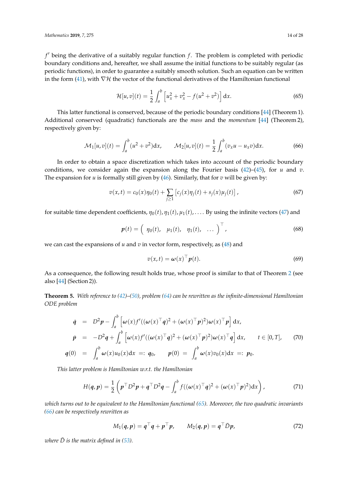*f* ′ being the derivative of a suitably regular function *f* . The problem is completed with periodic boundary conditions and, hereafter, we shall assume the initial functions to be suitably regular (as periodic functions), in order to guarantee a suitably smooth solution. Such an equation can be written in the form [\(41\)](#page-8-4), with  $\nabla \mathcal{H}$  the vector of the functional derivatives of the Hamiltonian functional

<span id="page-14-0"></span>
$$
\mathcal{H}[u,v](t) = \frac{1}{2} \int_{a}^{b} \left[ u_x^2 + v_x^2 - f(u^2 + v^2) \right] dx.
$$
 (65)

This latter functional is conserved, because of the periodic boundary conditions [\[44\]](#page-26-9) (Theorem 1). Additional conserved (quadratic) functionals are the *mass* and the *momentum* [\[44\]](#page-26-9) (Theorem 2), respectively given by:

$$
\mathcal{M}_1[u,v](t) = \int_a^b (u^2 + v^2) \mathrm{d}x, \qquad \mathcal{M}_2[u,v](t) = \frac{1}{2} \int_a^b (v_x u - u_x v) \mathrm{d}x. \tag{66}
$$

<span id="page-14-1"></span>In order to obtain a space discretization which takes into account of the periodic boundary conditions, we consider again the expansion along the Fourier basis  $(42)$ – $(45)$ , for *u* and *v*. The expansion for  $u$  is formally still given by  $(46)$ . Similarly, that for  $v$  will be given by:

$$
v(x,t) = c_0(x)\eta_0(t) + \sum_{j\geq 1} [c_j(x)\eta_j(t) + s_j(x)\mu_j(t)],
$$
\n(67)

for suitable time dependent coefficients,  $\eta_0(t)$ ,  $\eta_1(t)$ ,  $\mu_1(t)$ ,.... By using the infinite vectors [\(47\)](#page-9-6) and

$$
\boldsymbol{p}(t) = \begin{pmatrix} \eta_0(t), & \mu_1(t), & \eta_1(t), & \dots \end{pmatrix}^\top, \tag{68}
$$

we can cast the expansions of *u* and *v* in vector form, respectively, as [\(48\)](#page-9-5) and

$$
v(x,t) = \omega(x)^\top p(t). \tag{69}
$$

As a consequence, the following result holds true, whose proof is similar to that of Theorem [2](#page-8-5) (see also [\[44\]](#page-26-9) (Section 2)).

**Theorem 5.** *With reference to [\(42\)](#page-8-3)–[\(50\)](#page-9-2), problem [\(64\)](#page-12-6) can be rewritten as the infinite-dimensional Hamiltonian ODE problem*

$$
\dot{q} = D^2 p - \int_a^b \left[ \omega(x) f'((\omega(x)^\top q)^2 + (\omega(x)^\top p)^2) \omega(x)^\top p \right] dx,
$$
\n
$$
\dot{p} = -D^2 q + \int_a^b \left[ \omega(x) f'((\omega(x)^\top q)^2 + (\omega(x)^\top p)^2) \omega(x)^\top q \right] dx, \qquad t \in [0, T], \qquad (70)
$$
\n
$$
q(0) = \int_a^b \omega(x) u_0(x) dx =: q_0, \qquad p(0) = \int_a^b \omega(x) v_0(x) dx =: p_0.
$$

*This latter problem is Hamiltonian w.r.t. the Hamiltonian*

$$
H(q,p) = \frac{1}{2} \left( p^{\top} D^2 p + q^{\top} D^2 q - \int_a^b f((\omega(x)^{\top} q)^2 + (\omega(x)^{\top} p)^2) dx \right), \tag{71}
$$

*which turns out to be equivalent to the Hamiltonian functional [\(65\)](#page-13-0). Moreover, the two quadratic invariants [\(66\)](#page-13-1) can be respectively rewritten as*

$$
M_1(q, p) = q^{\top}q + p^{\top}p, \qquad M_2(q, p) = q^{\top}\bar{D}p,
$$
\n(72)

*where*  $\bar{D}$  *is the matrix defined in ([53\)](#page-10-1).*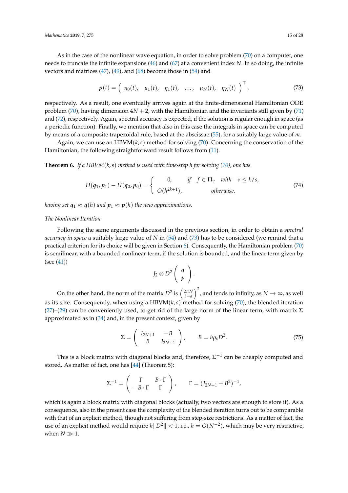<span id="page-15-0"></span>As in the case of the nonlinear wave equation, in order to solve problem [\(70\)](#page-13-2) on a computer, one needs to truncate the infinite expansions [\(46\)](#page-9-0) and [\(67\)](#page-13-3) at a convenient index *N*. In so doing, the infinite vectors and matrices  $(47)$ ,  $(49)$ , and  $(68)$  become those in  $(54)$  and

<span id="page-15-1"></span>
$$
\boldsymbol{p}(t) = \begin{pmatrix} \eta_0(t), & \mu_1(t), & \eta_1(t), & \ldots, & \mu_N(t), & \eta_N(t) \end{pmatrix}^{\top}, \tag{73}
$$

respectively. As a result, one eventually arrives again at the finite-dimensional Hamiltonian ODE problem [\(70\)](#page-13-2), having dimension  $4N + 2$ , with the Hamiltonian and the invariants still given by [\(71\)](#page-13-5) and [\(72\)](#page-13-6), respectively. Again, spectral accuracy is expected, if the solution is regular enough in space (as a periodic function). Finally, we mention that also in this case the integrals in space can be computed by means of a composite trapezoidal rule, based at the abscissae [\(55\)](#page-11-1), for a suitably large value of *m*.

Again, we can use an HBVM(*k*,*s*) method for solving [\(70\)](#page-13-2). Concerning the conservation of the Hamiltonian, the following straightforward result follows from [\(11\)](#page-3-1).

**Theorem 6.** *If a HBVM*(*k*,*s*) *method is used with time-step h for solving [\(70\)](#page-13-2), one has*

<span id="page-15-2"></span>
$$
H(q_1, p_1) - H(q_0, p_0) = \begin{cases} 0, & \text{if } f \in \Pi_v \text{ with } v \le k/s, \\ O(h^{2k+1}), & \text{otherwise.} \end{cases} \tag{74}
$$

*having set*  $q_1 \approx q(h)$  *and*  $p_1 \approx p(h)$  *the new approximations.* 

#### *The Nonlinear Iteration*

Following the same arguments discussed in the previous section, in order to obtain a *spectral accuracy in space* a suitably large value of *N* in [\(54\)](#page-10-0) and [\(73\)](#page-14-0) has to be considered (we remind that a practical criterion for its choice will be given in Section [6\)](#page-17-0). Consequently, the Hamiltonian problem [\(70\)](#page-13-2) is semilinear, with a bounded nonlinear term, if the solution is bounded, and the linear term given by (see [\(41\)](#page-8-4))

<span id="page-15-3"></span>
$$
J_2\otimes D^2\left(\begin{array}{c} q \\ p \end{array}\right).
$$

On the other hand, the norm of the matrix  $D^2$  is  $\left(\frac{2\pi N}{b-a}\right)$  $\Big)^2$ , and tends to infinity, as  $N\rightarrow\infty$ , as well as its size. Consequently, when using a HBVM(*k*,*s*) method for solving [\(70\)](#page-13-2), the blended iteration [\(27\)](#page-6-0)–[\(29\)](#page-6-1) can be conveniently used, to get rid of the large norm of the linear term, with matrix  $\Sigma$ approximated as in [\(34\)](#page-6-4) and, in the present context, given by

<span id="page-15-4"></span>
$$
\Sigma = \left(\begin{array}{cc} I_{2N+1} & -B \\ B & I_{2N+1} \end{array}\right), \qquad B = h\rho_s D^2. \tag{75}
$$

<span id="page-15-6"></span>This is a block matrix with diagonal blocks and, therefore,  $\Sigma^{-1}$  can be cheaply computed and stored. As matter of fact, one has [\[44\]](#page-26-9) (Theorem 5):

<span id="page-15-5"></span>
$$
\Sigma^{-1} = \begin{pmatrix} \Gamma & B \cdot \Gamma \\ -B \cdot \Gamma & \Gamma \end{pmatrix}, \qquad \Gamma = (I_{2N+1} + B^2)^{-1},
$$

which is again a block matrix with diagonal blocks (actually, two vectors are enough to store it). As a consequence, also in the present case the complexity of the blended iteration turns out to be comparable with that of an explicit method, though not suffering from step-size restrictions. As a matter of fact, the use of an explicit method would require  $h||D^2|| < 1$ , i.e.,  $h = O(N^{-2})$ , which may be very restrictive, when  $N \gg 1$ .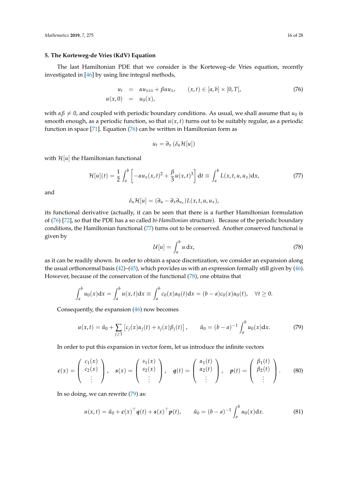#### **5. The Korteweg-de Vries (KdV) Equation**

The last Hamiltonian PDE that we consider is the Korteweg–de Vries equation, recently investigated in [\[46\]](#page-26-17) by using line integral methods,

<span id="page-16-3"></span><span id="page-16-1"></span>
$$
u_t = \alpha u_{xxx} + \beta u u_x, \qquad (x, t) \in [a, b] \times [0, T],
$$
  

$$
u(x, 0) = u_0(x), \qquad (76)
$$

with  $\alpha\beta \neq 0$ , and coupled with periodic boundary conditions. As usual, we shall assume that  $u_0$  is smooth enough, as a periodic function, so that  $u(x, t)$  turns out to be suitably regular, as a periodic function in space [\[71\]](#page-27-16). Equation [\(76\)](#page-15-1) can be written in Hamiltonian form as

$$
u_t = \partial_x \left( \delta_u \mathcal{H}[u] \right)
$$

with  $\mathcal{H}[u]$  the Hamiltonian functional

<span id="page-16-2"></span><span id="page-16-0"></span>
$$
\mathcal{H}[u](t) = \frac{1}{2} \int_a^b \left[ -\alpha u_x(x, t)^2 + \frac{\beta}{3} u(x, t)^3 \right] dt \equiv \int_a^b L(x, t, u, u_x) dx,
$$
 (77)

and

$$
\delta_u \mathcal{H}[u] = (\partial_u - \partial_x \partial_{u_x}) L(x, t, u, u_x),
$$

its functional derivative (actually, it can be seen that there is a further Hamiltonian formulation of [\(76\)](#page-15-1) [\[72\]](#page-27-17), so that the PDE has a so called *bi-Hamiltonian* structure). Because of the periodic boundary conditions, the Hamiltonian functional [\(77\)](#page-15-2) turns out to be conserved. Another conserved functional is given by

$$
\mathcal{U}[u] = \int_{a}^{b} u \, \mathrm{d}x,\tag{78}
$$

as it can be readily shown. In order to obtain a space discretization, we consider an expansion along the usual orthonormal basis [\(42\)](#page-8-3)–[\(45\)](#page-9-1), which provides us with an expression formally still given by [\(46\)](#page-9-0). However, because of the conservation of the functional [\(78\)](#page-15-3), one obtains that

<span id="page-16-4"></span>
$$
\int_a^b u_0(x) dx = \int_a^b u(x,t) dx \equiv \int_a^b c_0(x) \alpha_0(t) dx = (b-a)c_0(x) \alpha_0(t), \quad \forall t \ge 0.
$$

Consequently, the expansion [\(46\)](#page-9-0) now becomes

$$
u(x,t) = \hat{u}_0 + \sum_{j\geq 1} \left[ c_j(x)\alpha_j(t) + s_j(x)\beta_j(t) \right], \qquad \hat{u}_0 = (b-a)^{-1} \int_a^b u_0(x) \, dx. \tag{79}
$$

In order to put this expansion in vector form, let us introduce the infinite vectors

<span id="page-16-6"></span>
$$
c(x) = \begin{pmatrix} c_1(x) \\ c_2(x) \\ \vdots \end{pmatrix}, \quad s(x) = \begin{pmatrix} s_1(x) \\ s_2(x) \\ \vdots \end{pmatrix}, \quad q(t) = \begin{pmatrix} \alpha_1(t) \\ \alpha_2(t) \\ \vdots \end{pmatrix}, \quad p(t) = \begin{pmatrix} \beta_1(t) \\ \beta_2(t) \\ \vdots \end{pmatrix}.
$$
 (80)

In so doing, we can rewrite [\(79\)](#page-15-4) as:

<span id="page-16-5"></span>
$$
u(x,t) = \hat{u}_0 + c(x)^\top \mathbf{q}(t) + s(x)^\top \mathbf{p}(t), \qquad \hat{u}_0 = (b-a)^{-1} \int_a^b u_0(x) dx.
$$
 (81)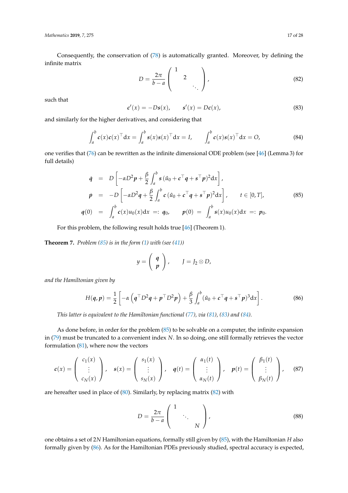Consequently, the conservation of [\(78\)](#page-15-3) is automatically granted. Moreover, by defining the infinite matrix

$$
D = \frac{2\pi}{b-a} \begin{pmatrix} 1 & & \\ & 2 & \\ & & \ddots \end{pmatrix},
$$
 (82)

<span id="page-17-1"></span>such that

$$
c'(x) = -Ds(x), \qquad s'(x) = Dc(x), \tag{83}
$$

and similarly for the higher derivatives, and considering that

$$
\int_a^b c(x)c(x)^\top dx = \int_a^b s(x)s(x)^\top dx = I, \qquad \int_a^b c(x)s(x)^\top dx = O,
$$
\n(84)

one verifies that [\(76\)](#page-15-1) can be rewritten as the infinite dimensional ODE problem (see [\[46\]](#page-26-17) (Lemma 3) for full details)

$$
\dot{q} = D \left[ -\alpha D^2 p + \frac{\beta}{2} \int_a^b s \left( \hat{u}_0 + c^\top q + s^\top p \right)^2 \mathrm{d}x \right],
$$
\n
$$
\dot{p} = -D \left[ -\alpha D^2 q + \frac{\beta}{2} \int_a^b c \left( \hat{u}_0 + c^\top q + s^\top p \right)^2 \mathrm{d}x \right], \qquad t \in [0, T],
$$
\n
$$
q(0) = \int_a^b c(x) u_0(x) \mathrm{d}x =: q_0, \qquad p(0) = \int_a^b s(x) u_0(x) \mathrm{d}x =: p_0.
$$
\n(85)

For this problem, the following result holds true [\[46\]](#page-26-17) (Theorem 1).

**Theorem 7.** *Problem [\(85\)](#page-16-0) is in the form [\(1\)](#page-0-0) with (see [\(41\)](#page-8-4))*

$$
y=\left(\begin{array}{c} q \\ p \end{array}\right), \qquad J=J_2\otimes D,
$$

*and the Hamiltonian given by*

$$
H(q,p) = \frac{1}{2} \left[ -\alpha \left( q^{\top} D^2 q + p^{\top} D^2 p \right) + \frac{\beta}{3} \int_a^b (\hat{u}_0 + c^{\top} q + s^{\top} p)^3 dx \right]. \tag{86}
$$

*This latter is equivalent to the Hamiltonian functional [\(77\)](#page-15-2), via [\(81\)](#page-15-5), [\(83\)](#page-16-1) and [\(84\)](#page-16-2).*

As done before, in order for the problem [\(85\)](#page-16-0) to be solvable on a computer, the infinite expansion in [\(79\)](#page-15-4) must be truncated to a convenient index *N*. In so doing, one still formally retrieves the vector formulation [\(81\)](#page-15-5), where now the vectors

<span id="page-17-0"></span>
$$
c(x) = \begin{pmatrix} c_1(x) \\ \vdots \\ c_N(x) \end{pmatrix}, \quad s(x) = \begin{pmatrix} s_1(x) \\ \vdots \\ s_N(x) \end{pmatrix}, \quad q(t) = \begin{pmatrix} \alpha_1(t) \\ \vdots \\ \alpha_N(t) \end{pmatrix}, \quad p(t) = \begin{pmatrix} \beta_1(t) \\ \vdots \\ \beta_N(t) \end{pmatrix}, \quad (87)
$$

are hereafter used in place of [\(80\)](#page-15-6). Similarly, by replacing matrix [\(82\)](#page-16-3) with

$$
D = \frac{2\pi}{b-a} \begin{pmatrix} 1 & & \\ & \ddots & \\ & & N \end{pmatrix},
$$
 (88)

one obtains a set of 2*N* Hamiltonian equations, formally still given by [\(85\)](#page-16-0), with the Hamiltonian *H* also formally given by [\(86\)](#page-16-4). As for the Hamiltonian PDEs previously studied, spectral accuracy is expected,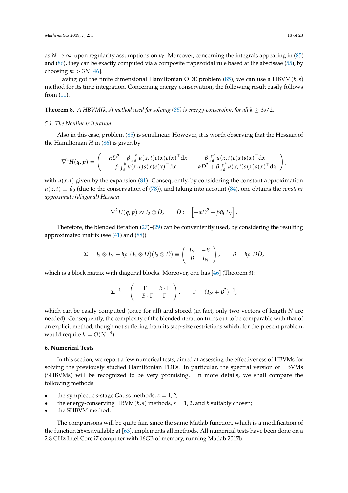as *N*  $\rightarrow \infty$ , upon regularity assumptions on  $u_0$ . Moreover, concerning the integrals appearing in [\(85\)](#page-16-0) and [\(86\)](#page-16-4), they can be exactly computed via a composite trapezoidal rule based at the abscissae [\(55\)](#page-11-1), by choosing  $m > 3N$  [\[46\]](#page-26-17).

Having got the finite dimensional Hamiltonian ODE problem [\(85\)](#page-16-0), we can use a HBVM(*k*,*s*) method for its time integration. Concerning energy conservation, the following result easily follows from [\(11\)](#page-3-1).

<span id="page-18-0"></span>**Theorem 8.** *A HBVM*( $k, s$ ) *method used for solving* [\(85\)](#page-16-0) *is energy-conserving, for all*  $k \geq 3s/2$ *.* 

#### *5.1. The Nonlinear Iteration*

Also in this case, problem [\(85\)](#page-16-0) is semilinear. However, it is worth observing that the Hessian of the Hamiltonian  $H$  in  $(86)$  is given by

<span id="page-18-4"></span>
$$
\nabla^2 H(q,p) = \begin{pmatrix} -\alpha D^2 + \beta \int_a^b u(x,t) c(x) c(x)^\top dx & \beta \int_a^b u(x,t) c(x) s(x)^\top dx \\ \beta \int_a^b u(x,t) s(x) c(x)^\top dx & -\alpha D^2 + \beta \int_a^b u(x,t) s(x) s(x)^\top dx \end{pmatrix},
$$

with  $u(x, t)$  given by the expansion [\(81\)](#page-15-5). Consequently, by considering the constant approximation  $u(x,t) \equiv \hat{u}_0$  (due to the conservation of [\(78\)](#page-15-3)), and taking into account [\(84\)](#page-16-2), one obtains the *constant approximate (diagonal) Hessian*

<span id="page-18-2"></span><span id="page-18-1"></span>
$$
\nabla^2 H(q,p) \approx I_2 \otimes \hat{D}, \qquad \hat{D} := \left[ -\alpha D^2 + \beta \hat{u}_0 I_N \right].
$$

Therefore, the blended iteration [\(27\)](#page-6-0)–[\(29\)](#page-6-1) can be conveniently used, by considering the resulting approximated matrix (see  $(41)$  and  $(88)$ )

$$
\Sigma = I_2 \otimes I_N - h\rho_s (J_2 \otimes D)(I_2 \otimes \hat{D}) \equiv \begin{pmatrix} I_N & -B \\ B & I_N \end{pmatrix}, \qquad B = h\rho_s D\hat{D},
$$

which is a block matrix with diagonal blocks. Moreover, one has [\[46\]](#page-26-17) (Theorem 3):

<span id="page-18-3"></span>
$$
\Sigma^{-1} = \begin{pmatrix} \Gamma & B \cdot \Gamma \\ -B \cdot \Gamma & \Gamma \end{pmatrix}, \qquad \Gamma = (I_N + B^2)^{-1},
$$

which can be easily computed (once for all) and stored (in fact, only two vectors of length *N* are needed). Consequently, the complexity of the blended iteration turns out to be comparable with that of an explicit method, though not suffering from its step-size restrictions which, for the present problem, would require  $h = O(N^{-3})$ .

#### **6. Numerical Tests**

In this section, we report a few numerical tests, aimed at assessing the effectiveness of HBVMs for solving the previously studied Hamiltonian PDEs. In particular, the spectral version of HBVMs (SHBVMs) will be recognized to be very promising. In more details, we shall compare the following methods:

- the symplectic *s*-stage Gauss methods,  $s = 1, 2;$
- the energy-conserving HBVM( $k$ ,  $s$ ) methods,  $s = 1, 2$ , and  $k$  suitably chosen;
- the SHBVM method.

The comparisons will be quite fair, since the same Matlab function, which is a modification of the function hbvm available at [\[63\]](#page-27-10), implements all methods. All numerical tests have been done on a 2.8 GHz Intel Core i7 computer with 16GB of memory, running Matlab 2017b.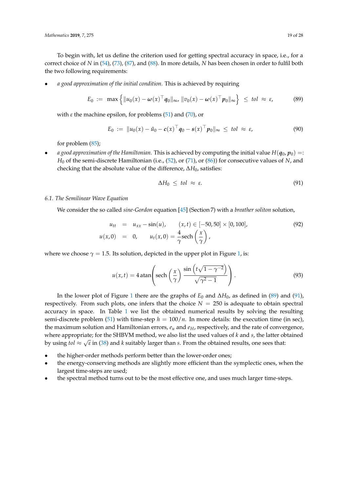<span id="page-19-0"></span>To begin with, let us define the criterion used for getting spectral accuracy in space, i.e., for a correct choice of *N* in [\(54\)](#page-10-0), [\(73\)](#page-14-0), [\(87\)](#page-16-6), and [\(88\)](#page-16-5). In more details, *N* has been chosen in order to fulfil both the two following requirements:

• *a good approximation of the initial condition.* This is achieved by requiring

$$
E_0 := \max \left\{ \|u_0(x) - \boldsymbol{\omega}(x)^\top \boldsymbol{q}_0\|_{\infty}, \|v_0(x) - \boldsymbol{\omega}(x)^\top \boldsymbol{p}_0\|_{\infty} \right\} \leq tol \approx \varepsilon, \tag{89}
$$

with *ε* the machine epsilon, for problems [\(51\)](#page-9-3) and [\(70\)](#page-13-2), or

$$
E_0 := \|u_0(x) - \hat{u}_0 - c(x)^\top \mathbf{q}_0 - \mathbf{s}(x)^\top \mathbf{p}_0\|_{\infty} \leq tol \approx \varepsilon,
$$
\n(90)

for problem [\(85\)](#page-16-0);

*a good approximation of the Hamiltonian.* This is achieved by computing the initial value  $H(q_0, p_0) =$ : *H*<sub>0</sub> of the semi-discrete Hamiltonian (i.e., [\(52\)](#page-9-4), or [\(71\)](#page-13-5), or [\(86\)](#page-16-4)) for consecutive values of *N*, and checking that the absolute value of the difference, ∆*H*0, satisfies:

$$
\Delta H_0 \leq tol \approx \varepsilon. \tag{91}
$$

#### *6.1. The Semilinear Wave Equation*

We consider the so called *sine-Gordon* equation [\[45\]](#page-26-16) (Section 7) with a *breather soliton* solution,

$$
u_{tt} = u_{xx} - \sin(u), \qquad (x, t) \in [-50, 50] \times [0, 100],
$$
  

$$
u(x, 0) = 0, \qquad u_t(x, 0) = \frac{4}{\gamma} \text{sech}\left(\frac{x}{\gamma}\right),
$$
 (92)

where we choose  $\gamma = 1.5$ . Its solution, depicted in the upper plot in Figure [1,](#page-20-0) is:

$$
u(x,t) = 4 \operatorname{atan}\left(\operatorname{sech}\left(\frac{x}{\gamma}\right) \frac{\sin\left(t\sqrt{1-\gamma^{-2}}\right)}{\sqrt{\gamma^2-1}}\right).
$$
 (93)

In the lower plot of Figure [1](#page-20-0) there are the graphs of *E*<sup>0</sup> and ∆*H*0, as defined in [\(89\)](#page-18-0) and [\(91\)](#page-18-1), respectively. From such plots, one infers that the choice  $N = 250$  is adequate to obtain spectral accuracy in space. In Table [1](#page-19-0) we list the obtained numerical results by solving the resulting semi-discrete problem [\(51\)](#page-9-3) with time-step  $h = 100/n$ . In more details: the execution time (in sec), the maximum solution and Hamiltonian errors, *e<sup>u</sup>* and *eH*, respectively, and the rate of convergence, where appropriate; for the SHBVM method, we also list the used values of *k* and *s*, the latter obtained by using  $tol \approx \sqrt{\varepsilon}$  in [\(38\)](#page-7-2) and *k* suitably larger than *s*. From the obtained results, one sees that:

- the higher-order methods perform better than the lower-order ones;
- the energy-conserving methods are slightly more efficient than the symplectic ones, when the largest time-steps are used;
- the spectral method turns out to be the most effective one, and uses much larger time-steps.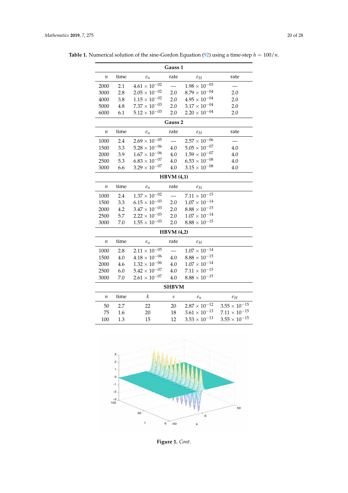| Gauss 1          |      |                        |                          |                        |                        |  |  |
|------------------|------|------------------------|--------------------------|------------------------|------------------------|--|--|
| п                | time | $e_u$                  | rate                     | $e_H$                  | rate                   |  |  |
| 2000             | 2.1  | $4.61 \times 10^{-02}$ | $\equiv$                 | $1.98\times10^{-03}$   |                        |  |  |
| 3000             | 2.8  | $2.05 \times 10^{-02}$ | 2.0                      | $8.79 \times 10^{-04}$ | 2.0                    |  |  |
| 4000             | 3.8  | $1.15 \times 10^{-02}$ | 2.0                      | $4.95 \times 10^{-04}$ | 2.0                    |  |  |
| 5000             | 4.8  | $7.37 \times 10^{-03}$ | 2.0                      | $3.17 \times 10^{-04}$ | 2.0                    |  |  |
| 6000             | 6.1  | $5.12 \times 10^{-03}$ | 2.0                      | $2.20\times10^{-04}$   | 2.0                    |  |  |
|                  |      |                        | Gauss <sub>2</sub>       |                        |                        |  |  |
| $\boldsymbol{n}$ | time | $e_u$                  | rate                     | $e_H$                  | rate                   |  |  |
| 1000             | 2.4  | $2.69 \times 10^{-05}$ | $\overline{\phantom{0}}$ | $2.57 \times 10^{-06}$ |                        |  |  |
| 1500             | 3.3  | $5.28\times10^{-06}$   | 4.0                      | $5.05\times10^{-07}$   | 4.0                    |  |  |
| 2000             | 3.9  | $1.67 \times 10^{-06}$ | $4.0\,$                  | $1.59\times10^{-07}$   | 4.0                    |  |  |
| 2500             | 5.3  | $6.83\times10^{-07}$   | $4.0\,$                  | $6.53 \times 10^{-08}$ | 4.0                    |  |  |
| 3000             | 6.6  | $3.29 \times 10^{-07}$ | 4.0                      | $3.15 \times 10^{-08}$ | 4.0                    |  |  |
|                  |      |                        | HBVM(4,1)                |                        |                        |  |  |
| $\boldsymbol{n}$ | time | $e_u$                  | rate                     | $e_H$                  |                        |  |  |
| 1000             | 2.4  | $1.37 \times 10^{-02}$ | $\overline{\phantom{0}}$ | $7.11 \times 10^{-15}$ |                        |  |  |
| 1500             | 3.3  | $6.15 \times 10^{-03}$ | 2.0                      | $1.07 \times 10^{-14}$ |                        |  |  |
| 2000             | 4.2  | $3.47 \times 10^{-03}$ | 2.0                      | $8.88 \times 10^{-15}$ |                        |  |  |
| 2500             | 5.7  | $2.22 \times 10^{-03}$ | 2.0                      | $1.07\times10^{-14}$   |                        |  |  |
| 3000             | 7.0  | $1.55 \times 10^{-03}$ | 2.0                      | $8.88\times10^{-15}$   |                        |  |  |
| HBVM(4,2)        |      |                        |                          |                        |                        |  |  |
| $\it n$          | time | $e_u$                  | rate                     | $e_H$                  |                        |  |  |
| 1000             | 2.8  | $2.11 \times 10^{-05}$ | $\overline{\phantom{0}}$ | $1.07\times10^{-14}$   |                        |  |  |
| 1500             | 4.0  | $4.18\times10^{-06}$   | 4.0                      | $8.88 \times 10^{-15}$ |                        |  |  |
| 2000             | 4.6  | $1.32\times10^{-06}$   | $4.0\,$                  | $1.07\times10^{-14}$   |                        |  |  |
| 2500             | 6.0  | $5.42 \times 10^{-07}$ | 4.0                      | $7.11 \times 10^{-15}$ |                        |  |  |
| 3000             | 7.0  | $2.61 \times 10^{-07}$ | 4.0                      | $8.88\times10^{-15}$   |                        |  |  |
|                  |      |                        | <b>SHBVM</b>             |                        |                        |  |  |
| п                | time | k                      | $\boldsymbol{S}$         | $e_u$                  | $e_H$                  |  |  |
| 50               | 2.7  | 22                     | 20                       | $2.87 \times 10^{-12}$ | $3.55 \times 10^{-15}$ |  |  |
| 75               | 1.6  | 20                     | 18                       | $3.61 \times 10^{-13}$ | $7.11\times10^{-15}$   |  |  |
| 100              | 1.3  | 15                     | 12                       | $3.53 \times 10^{-13}$ | $3.55 \times 10^{-15}$ |  |  |

<span id="page-20-0"></span>**Table 1.** Numerical solution of the sine-Gordon Equation [\(92\)](#page-18-2) using a time-step  $h = 100/n$ .

<span id="page-20-2"></span><span id="page-20-1"></span>

**Figure 1.** *Cont.*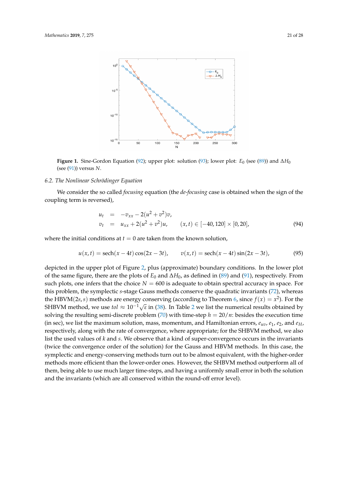<span id="page-21-0"></span>

**Figure 1.** Sine-Gordon Equation [\(92\)](#page-18-2); upper plot: solution [\(93\)](#page-18-3); lower plot:  $E_0$  (see [\(89\)](#page-18-0)) and  $\Delta H_0$ (see [\(91\)](#page-18-1)) versus *N*.

#### *6.2. The Nonlinear Schrödinger Equation*

We consider the so called *focusing* equation (the *de-focusing* case is obtained when the sign of the coupling term is reversed),

$$
u_t = -v_{xx} - 2(u^2 + v^2)v,
$$
  
\n
$$
v_t = u_{xx} + 2(u^2 + v^2)u,
$$
  $(x, t) \in [-40, 120] \times [0, 20],$  (94)

where the initial conditions at  $t = 0$  are taken from the known solution,

$$
u(x,t) = sech(x-4t)\cos(2x-3t), \qquad v(x,t) = sech(x-4t)\sin(2x-3t), \tag{95}
$$

depicted in the upper plot of Figure [2,](#page-22-0) plus (approximate) boundary conditions. In the lower plot of the same figure, there are the plots of *E*<sup>0</sup> and ∆*H*0, as defined in [\(89\)](#page-18-0) and [\(91\)](#page-18-1), respectively. From such plots, one infers that the choice  $N = 600$  is adequate to obtain spectral accuracy in space. For this problem, the symplectic *s*-stage Gauss methods conserve the quadratic invariants [\(72\)](#page-13-6), whereas the HBVM(2*s*,*s*) methods are energy conserving (according to Theorem [6,](#page-14-1) since  $f(x) = x^2$ ). For the SHBVM method, we use  $tol \approx 10^{-1}\sqrt{\epsilon}$  in [\(38\)](#page-7-2). In Table [2](#page-21-0) we list the numerical results obtained by solving the resulting semi-discrete problem [\(70\)](#page-13-2) with time-step  $h = 20/n$ : besides the execution time (in sec), we list the maximum solution, mass, momentum, and Hamiltonian errors, *euv*, *e*1, *e*2, and *eH*, respectively, along with the rate of convergence, where appropriate; for the SHBVM method, we also list the used values of *k* and *s*. We observe that a kind of super-convergence occurs in the invariants (twice the convergence order of the solution) for the Gauss and HBVM methods. In this case, the symplectic and energy-conserving methods turn out to be almost equivalent, with the higher-order methods more efficient than the lower-order ones. However, the SHBVM method outperform all of them, being able to use much larger time-steps, and having a uniformly small error in both the solution and the invariants (which are all conserved within the round-off error level).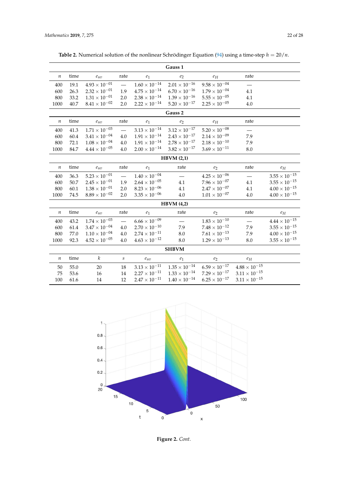|                  |           |                        |                          |                        | Gauss 1                |                        |                        |                        |
|------------------|-----------|------------------------|--------------------------|------------------------|------------------------|------------------------|------------------------|------------------------|
| $\boldsymbol{n}$ | time      | $e_{uv}$               | rate                     | $e_1$                  | e <sub>2</sub>         | $e_H$                  | rate                   |                        |
| 400              | 19.1      | $4.93 \times 10^{-01}$ |                          | $1.60 \times 10^{-14}$ | $2.01 \times 10^{-16}$ | $9.58 \times 10^{-04}$ |                        |                        |
| 600              | 26.3      | $2.32 \times 10^{-01}$ | 1.9                      | $4.75 \times 10^{-14}$ | $6.70 \times 10^{-16}$ | $1.79 \times 10^{-04}$ | 4.1                    |                        |
| 800              | 33.2      | $1.31\times10^{-01}$   | 2.0                      | $2.38\times10^{-14}$   | $1.39 \times 10^{-16}$ | $5.55 \times 10^{-05}$ | 4.1                    |                        |
| 1000             | 40.7      | $8.41 \times 10^{-02}$ | 2.0                      | $2.22 \times 10^{-14}$ | $5.20 \times 10^{-17}$ | $2.25 \times 10^{-05}$ | 4.0                    |                        |
|                  |           |                        |                          |                        | Gauss <sub>2</sub>     |                        |                        |                        |
| $\boldsymbol{n}$ | time      | $e_{uv}$               | rate                     | $e_1$                  | $e_2$                  | $e_H$                  | rate                   |                        |
| 400              | 41.3      | $1.71 \times 10^{-03}$ | $\equiv$                 | $3.13 \times 10^{-14}$ | $3.12 \times 10^{-17}$ | $5.20 \times 10^{-08}$ |                        |                        |
| 600              | 60.4      | $3.41 \times 10^{-04}$ | 4.0                      | $1.91 \times 10^{-14}$ | $2.43 \times 10^{-17}$ | $2.14 \times 10^{-09}$ | 7.9                    |                        |
| 800              | 72.1      | $1.08\times10^{-04}$   | 4.0                      | $1.91 \times 10^{-14}$ | $2.78 \times 10^{-17}$ | $2.18 \times 10^{-10}$ | 7.9                    |                        |
| 1000             | 84.7      | $4.44 \times 10^{-05}$ | 4.0                      | $2.00 \times 10^{-14}$ | $3.82 \times 10^{-17}$ | $3.69 \times 10^{-11}$ | 8.0                    |                        |
|                  |           |                        |                          |                        | HBVM(2,1)              |                        |                        |                        |
| $\it n$          | time      | $e_{uv}$               | rate                     | $e_1$                  | rate                   | $e_2$                  | rate                   | $e_H$                  |
| 400              | 36.3      | $5.23 \times 10^{-01}$ |                          | $1.40\times10^{-04}$   | $\equiv$               | $4.25\times10^{-06}$   |                        | $3.55\times10^{-15}$   |
| 600              | 50.7      | $2.45 \times 10^{-01}$ | 1.9                      | $2.64 \times 10^{-05}$ | 4.1                    | $7.96 \times 10^{-07}$ | 4.1                    | $3.55 \times 10^{-15}$ |
| 800              | 60.1      | $1.38\times10^{-01}$   | 2.0                      | $8.23 \times 10^{-06}$ | 4.1                    | $2.47 \times 10^{-07}$ | 4.1                    | $4.00\times10^{-15}$   |
| 1000             | 74.5      | $8.89 \times 10^{-02}$ | 2.0                      | $3.35 \times 10^{-06}$ | 4.0                    | $1.01 \times 10^{-07}$ | 4.0                    | $4.00 \times 10^{-15}$ |
|                  | HBVM(4,2) |                        |                          |                        |                        |                        |                        |                        |
| $\it n$          | time      | $e_{uv}$               | rate                     | $e_1$                  | rate                   | $e_2$                  | rate                   | $e_H$                  |
| 400              | 43.2      | $1.74 \times 10^{-03}$ | $\overline{\phantom{0}}$ | $6.66\times10^{-09}$   |                        | $1.83\times10^{-10}$   |                        | $4.44\times10^{-15}$   |
| 600              | 61.4      | $3.47 \times 10^{-04}$ | 4.0                      | $2.70 \times 10^{-10}$ | 7.9                    | $7.48 \times 10^{-12}$ | 7.9                    | $3.55 \times 10^{-15}$ |
| 800              | 77.0      | $1.10 \times 10^{-04}$ | 4.0                      | $2.74 \times 10^{-11}$ | 8.0                    | $7.61\times10^{-13}$   | 7.9                    | $4.00 \times 10^{-15}$ |
| 1000             | 92.3      | $4.52 \times 10^{-05}$ | 4.0                      | $4.63 \times 10^{-12}$ | 8.0                    | $1.29 \times 10^{-13}$ | 8.0                    | $3.55 \times 10^{-15}$ |
| <b>SHBVM</b>     |           |                        |                          |                        |                        |                        |                        |                        |
| $\it n$          | time      | k                      | $\boldsymbol{S}$         | $e_{uv}$               | $\boldsymbol{e}_1$     | $e_2$                  | $e_H$                  |                        |
| 50               | 55.0      | 20                     | 18                       | $3.13 \times 10^{-11}$ | $1.35 \times 10^{-14}$ | $6.59 \times 10^{-17}$ | $4.88 \times 10^{-15}$ |                        |
| 75               | 53.6      | 16                     | 14                       | $2.27 \times 10^{-11}$ | $1.33 \times 10^{-14}$ | $7.29 \times 10^{-17}$ | $3.11 \times 10^{-15}$ |                        |
| 100              | 61.6      | 14                     | 12                       | $2.47 \times 10^{-11}$ | $1.40 \times 10^{-14}$ | $6.25 \times 10^{-17}$ | $3.11 \times 10^{-15}$ |                        |

<span id="page-22-0"></span>**Table 2.** Numerical solution of the nonlinear Schrödinger Equation [\(94\)](#page-20-1) using a time-step *h* = 20/*n*.

<span id="page-22-2"></span><span id="page-22-1"></span>

**Figure 2.** *Cont.*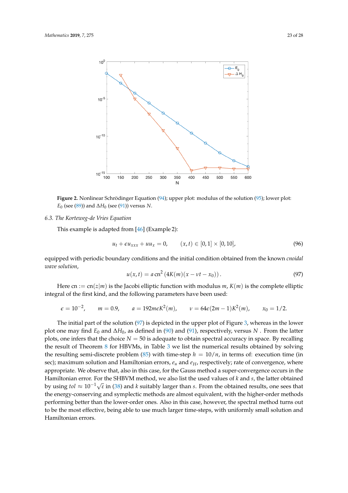<span id="page-23-0"></span>

**Figure 2.** Nonlinear Schrödinger Equation [\(94\)](#page-20-1); upper plot: modulus of the solution [\(95\)](#page-20-2); lower plot: *E*<sub>0</sub> (see [\(89\)](#page-18-0)) and  $\Delta H_0$  (see [\(91\)](#page-18-1)) versus *N*.

#### *6.3. The Korteweg-de Vries Equation*

This example is adapted from [\[46\]](#page-26-17) (Example 2):

$$
u_t + \epsilon u_{xxx} + u u_x = 0, \qquad (x, t) \in [0, 1] \times [0, 10], \tag{96}
$$

equipped with periodic boundary conditions and the initial condition obtained from the known *cnoidal wave solution*,

$$
u(x,t) = a \operatorname{cn}^2 (4K(m)(x - vt - x_0)).
$$
 (97)

Here cn := cn( $z|m$ ) is the Jacobi elliptic function with modulus *m*,  $K(m)$  is the complete elliptic integral of the first kind, and the following parameters have been used:

$$
\epsilon = 10^{-2}
$$
,  $m = 0.9$ ,  $a = 192meK^2(m)$ ,  $v = 64\epsilon(2m - 1)K^2(m)$ ,  $x_0 = 1/2$ .

The initial part of the solution [\(97\)](#page-22-1) is depicted in the upper plot of Figure [3,](#page-24-1) whereas in the lower plot one may find *E*<sup>0</sup> and ∆*H*0, as defined in [\(90\)](#page-18-4) and [\(91\)](#page-18-1), respectively, versus *N* . From the latter plots, one infers that the choice  $N = 50$  is adequate to obtain spectral accuracy in space. By recalling the result of Theorem [8](#page-17-1) for HBVMs, in Table [3](#page-23-0) we list the numerical results obtained by solving the resulting semi-discrete problem [\(85\)](#page-16-0) with time-step  $h = 10/n$ , in terms of: execution time (in sec); maximum solution and Hamiltonian errors, *e<sup>u</sup>* and *eH*, respectively; rate of convergence, where appropriate. We observe that, also in this case, for the Gauss method a super-convergence occurs in the Hamiltonian error. For the SHBVM method, we also list the used values of *k* and *s*, the latter obtained by using *tol* <sup>≈</sup> <sup>10</sup>−1<sup>√</sup> *ε* in [\(38\)](#page-7-2) and *k* suitably larger than *s*. From the obtained results, one sees that the energy-conserving and symplectic methods are almost equivalent, with the higher-order methods performing better than the lower-order ones. Also in this case, however, the spectral method turns out to be the most effective, being able to use much larger time-steps, with uniformly small solution and Hamiltonian errors.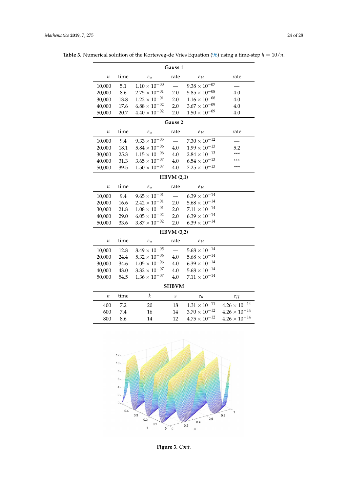|        |      |                        | Gauss 1           |                        |                        |
|--------|------|------------------------|-------------------|------------------------|------------------------|
| п      | time | $e_u$                  | rate              | $e_H$                  | rate                   |
| 10,000 | 5.1  | $1.10 \times 10^{+00}$ |                   | $9.38\times10^{-07}$   |                        |
| 20,000 | 8.6  | $2.75 \times 10^{-01}$ | 2.0               | $5.85 \times 10^{-08}$ | 4.0                    |
| 30,000 | 13.8 | $1.22 \times 10^{-01}$ | 2.0               | $1.16\times10^{-08}$   | 4.0                    |
| 40,000 | 17.6 | $6.88 \times 10^{-02}$ | 2.0               | $3.67\times10^{-09}$   | 4.0                    |
| 50,000 | 20.7 | $4.40 \times 10^{-02}$ | 2.0               | $1.50 \times 10^{-09}$ | 4.0                    |
|        |      |                        | Gauss 2           |                        |                        |
| n      | time | $e_u$                  | rate              | $e_H$                  | rate                   |
| 10,000 | 9.4  | $9.33 \times 10^{-05}$ |                   | $7.30 \times 10^{-12}$ |                        |
| 20,000 | 18.1 | $5.84\times10^{-06}$   | 4.0               | $1.99 \times 10^{-13}$ | 5.2                    |
| 30,000 | 25.3 | $1.15\times10^{-06}$   | 4.0               | $2.84 \times 10^{-13}$ | ***                    |
| 40,000 | 31.3 | $3.65 \times 10^{-07}$ | 4.0               | $6.54\times10^{-13}$   | ***                    |
| 50,000 | 39.5 | $1.50\times10^{-07}$   | 4.0               | $7.25 \times 10^{-13}$ | ***                    |
|        |      |                        | <b>HBVM (2,1)</b> |                        |                        |
| n      | time | $e_u$                  | rate              | $e_H$                  |                        |
| 10,000 | 9.4  | $9.65\times10^{-01}$   |                   | $6.39\times10^{-14}$   |                        |
| 20,000 | 16.6 | $2.42 \times 10^{-01}$ | 2.0               | $5.68\times10^{-14}$   |                        |
| 30,000 | 21.8 | $1.08 \times 10^{-01}$ | 2.0               | $7.11 \times 10^{-14}$ |                        |
| 40,000 | 29.0 | $6.05 \times 10^{-02}$ | 2.0               | $6.39 \times 10^{-14}$ |                        |
| 50,000 | 33.6 | $3.87 \times 10^{-02}$ | 2.0               | $6.39 \times 10^{-14}$ |                        |
|        |      |                        | <b>HBVM</b> (3,2) |                        |                        |
| п      | time | $e_u$                  | rate              | $e_H$                  |                        |
| 10,000 | 12.8 | $8.49\times10^{-05}$   |                   | $5.68\times10^{-14}$   |                        |
| 20,000 | 24.4 | $5.32 \times 10^{-06}$ | 4.0               | $5.68 \times 10^{-14}$ |                        |
| 30,000 | 34.6 | $1.05\times10^{-06}$   | 4.0               | $6.39\times10^{-14}$   |                        |
| 40,000 | 43.0 | $3.32 \times 10^{-07}$ | 4.0               | $5.68\times10^{-14}$   |                        |
| 50,000 | 54.5 | $1.36\times10^{-07}$   | 4.0               | $7.11\times10^{-14}$   |                        |
|        |      |                        | <b>SHBVM</b>      |                        |                        |
| п      | time | $\boldsymbol{k}$       | $\boldsymbol{S}$  | $e_u$                  | $e_H$                  |
| 400    | 7.2  | 20                     | 18                | $1.31 \times 10^{-11}$ | $4.26\times10^{-14}$   |
| 600    | 7.4  | 16                     | 14                | $3.70\times10^{-12}$   | $4.26 \times 10^{-14}$ |
| 800    | 8.6  | 14                     | 12                | $4.75 \times 10^{-12}$ | $4.26 \times 10^{-14}$ |

<span id="page-24-1"></span>**Table 3.** Numerical solution of the Korteweg-de Vries Equation [\(96\)](#page-22-2) using a time-step  $h = 10/n$ .

<span id="page-24-0"></span>

**Figure 3.** *Cont.*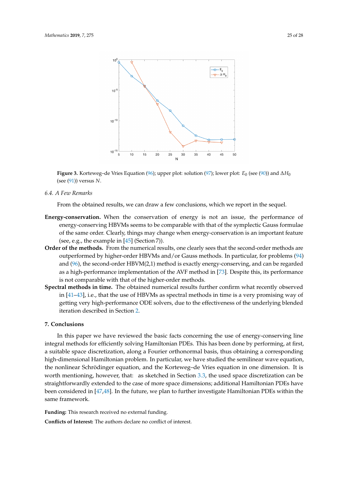<span id="page-25-8"></span><span id="page-25-0"></span>

<span id="page-25-2"></span><span id="page-25-1"></span>**Figure 3.** Korteweg–de Vries Equation [\(96\)](#page-22-2); upper plot: solution [\(97\)](#page-22-1); lower plot:  $E_0$  (see [\(90\)](#page-18-4)) and  $\Delta H_0$ (see [\(91\)](#page-18-1)) versus *N*.

#### *6.4. A Few Remarks*

From the obtained results, we can draw a few conclusions, which we report in the sequel.

- <span id="page-25-4"></span><span id="page-25-3"></span>**Energy-conservation.** When the conservation of energy is not an issue, the performance of energy-conserving HBVMs seems to be comparable with that of the symplectic Gauss formulae of the same order. Clearly, things may change when energy-conservation is an important feature (see, e.g., the example in [\[45\]](#page-26-16) (Section 7)).
- **Order of the methods.** From the numerical results, one clearly sees that the second-order methods are outperformed by higher-order HBVMs and/or Gauss methods. In particular, for problems [\(94\)](#page-20-1) and [\(96\)](#page-22-2), the second-order HBVM(2,1) method is exactly energy-conserving, and can be regarded as a high-performance implementation of the AVF method in [\[73\]](#page-27-18). Despite this, its performance is not comparable with that of the higher-order methods.
- **Spectral methods in time.** The obtained numerical results further confirm what recently observed in [\[41](#page-26-7)[–43\]](#page-26-8), i.e., that the use of HBVMs as spectral methods in time is a very promising way of getting very high-performance ODE solvers, due to the effectiveness of the underlying blended iteration described in Section [2.](#page-1-0)

### **7. Conclusions**

<span id="page-25-6"></span><span id="page-25-5"></span>In this paper we have reviewed the basic facts concerning the use of energy-conserving line integral methods for efficiently solving Hamiltonian PDEs. This has been done by performing, at first, a suitable space discretization, along a Fourier orthonormal basis, thus obtaining a corresponding high-dimensional Hamiltonian problem. In particular, we have studied the semilinear wave equation, the nonlinear Schrödinger equation, and the Korteweg–de Vries equation in one dimension. It is worth mentioning, however, that: as sketched in Section [3.3,](#page-11-0) the used space discretization can be straightforwardly extended to the case of more space dimensions; additional Hamiltonian PDEs have been considered in [\[47](#page-26-15)[,48\]](#page-26-10). In the future, we plan to further investigate Hamiltonian PDEs within the same framework.

**Funding:** This research received no external funding.

<span id="page-25-7"></span>**Conflicts of Interest:** The authors declare no conflict of interest.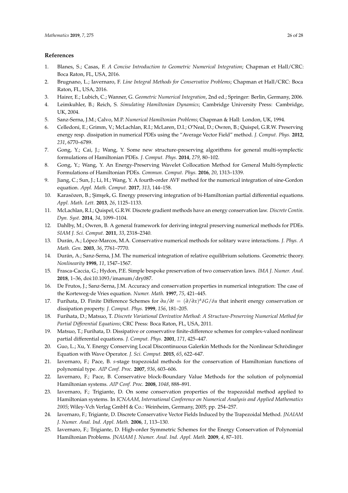#### <span id="page-26-0"></span>**References**

- 1. Blanes, S.; Casas, F. *A Concise Introduction to Geometric Numerical Integration*; Chapman et Hall/CRC: Boca Raton, FL, USA, 2016.
- <span id="page-26-2"></span>2. Brugnano, L.; Iavernaro, F. *Line Integral Methods for Conservative Problems*; Chapman et Hall/CRC: Boca Raton, FL, USA, 2016.
- 3. Hairer, E.; Lubich, C.; Wanner, G. *Geometric Numerical Integration*, 2nd ed.; Springer: Berlin, Germany, 2006.
- 4. Leimkuhler, B.; Reich, S. *Simulating Hamiltonian Dynamics*; Cambridge University Press: Cambridge, UK, 2004.
- <span id="page-26-12"></span>5. Sanz-Serna, J.M.; Calvo, M.P. *Numerical Hamiltonian Problems*; Chapman & Hall: London, UK, 1994.
- <span id="page-26-1"></span>6. Celledoni, E.; Grimm, V.; McLachlan, R.I.; McLaren, D.I.; O'Neal, D.; Owren, B.; Quispel, G.R.W. Preserving energy resp. dissipation in numerical PDEs using the "Average Vector Field" method. *J. Comput. Phys.* **2012**, *231*, 6770–6789.
- <span id="page-26-3"></span>7. Gong, Y.; Cai, J.; Wang, Y. Some new structure-preserving algorithms for general multi-symplectic formulations of Hamiltonian PDEs. *J. Comput. Phys.* **2014**, *279*, 80–102.
- 8. Gong, Y.; Wang, Y. An Energy-Preserving Wavelet Collocation Method for General Multi-Symplectic Formulations of Hamiltonian PDEs. *Commun. Comput. Phys.* **2016**, *20*, 1313–1339.
- 9. Jiang, C.; Sun, J.; Li, H.; Wang, Y. A fourth-order AVF method for the numerical integration of sine-Gordon equation. *Appl. Math. Comput.* **2017**, *313*, 144–158.
- 10. Karasözen, B.; Şimşek, G. Energy preserving integration of bi-Hamiltonian partial differential equations. *Appl. Math. Lett.* **2013**, *26*, 1125–1133.
- 11. McLachlan, R.I.; Quispel, G.R.W. Discrete gradient methods have an energy conservation law. *Discrete Contin. Dyn. Syst.* **2014**, *34*, 1099–1104.
- 12. Dahlby, M.; Owren, B. A general framework for deriving integral preserving numerical methods for PDEs. *SIAM J. Sci. Comput.* **2011**, *33*, 2318–2340.
- <span id="page-26-4"></span>13. Durán, A.; López-Marcos, M.A. Conservative numerical methods for solitary wave interactions. *J. Phys. A Math. Gen.* **2003**, *36*, 7761–7770.
- <span id="page-26-5"></span>14. Durán, A.; Sanz-Serna, J.M. The numerical integration of relative equilibrium solutions. Geometric theory. *Nonlinearity* **1998**, *11*, 1547–1567.
- <span id="page-26-6"></span>15. Frasca-Caccia, G.; Hydon, P.E. Simple bespoke preservation of two conservation laws. *IMA J. Numer. Anal.* **2018**, 1–36, doi:10.1093/imanum/dry087.
- <span id="page-26-7"></span>16. De Frutos, J.; Sanz-Serna, J.M. Accuracy and conservation properties in numerical integration: The case of the Korteweg-de Vries equation. *Numer. Math.* **1997**, *75*, 421–445.
- <span id="page-26-14"></span>17. Furihata, D. Finite Difference Schemes for *∂u*/*∂t* = (*∂*/*∂x*) *α δG*/*δu* that inherit energy conservation or dissipation property. *J. Comput. Phys.* **1999**, *156*, 181–205.
- 18. Furihata, D.; Matsuo, T. *Discrete Variational Derivative Method: A Structure-Preserving Numerical Method for Partial Differential Equations*; CRC Press: Boca Raton, FL, USA, 2011.
- <span id="page-26-8"></span>19. Matsuo, T.; Furihata, D. Dissipative or conservative finite-difference schemes for complex-valued nonlinear partial differential equations. *J. Comput. Phys.* **2001**, *171*, 425–447.
- <span id="page-26-9"></span>20. Guo, L.; Xu, Y. Energy Conserving Local Discontinuous Galerkin Methods for the Nonlinear Schrödinger Equation with Wave Operator. *J. Sci. Comput.* **2015**, *65*, 622–647.
- <span id="page-26-16"></span>21. Iavernaro, F.; Pace, B. *s*-stage trapezoidal methods for the conservation of Hamiltonian functions of polynomial type. *AIP Conf. Proc.* **2007**, *936*, 603–606.
- <span id="page-26-17"></span>22. Iavernaro, F.; Pace, B. Conservative block-Boundary Value Methods for the solution of polynomial Hamiltonian systems. *AIP Conf. Proc.* **2008**, *1048*, 888–891.
- <span id="page-26-15"></span>23. Iavernaro, F.; Trigiante, D. On some conservation properties of the trapezoidal method applied to Hamiltonian systems. In *ICNAAM, International Conference on Numerical Analysis and Applied Mathematics 2005*; Wiley-Vch Verlag GmbH & Co.: Weinheim, Germany, 2005; pp. 254–257.
- <span id="page-26-10"></span>24. Iavernaro, F.; Trigiante, D. Discrete Conservative Vector Fields Induced by the Trapezoidal Method. *JNAIAM J. Numer. Anal. Ind. Appl. Math.* **2006**, *1*, 113–130.
- <span id="page-26-13"></span><span id="page-26-11"></span>25. Iavernaro, F.; Trigiante, D. High-order Symmetric Schemes for the Energy Conservation of Polynomial Hamiltonian Problems. *JNAIAM J. Numer. Anal. Ind. Appl. Math.* **2009**, *4*, 87–101.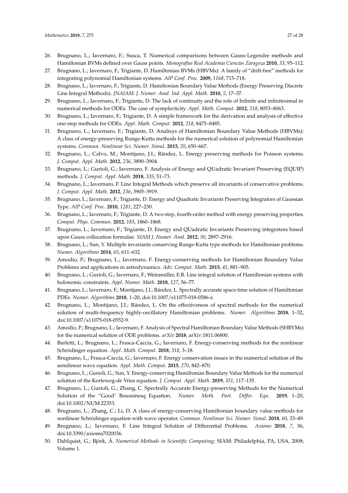- <span id="page-27-0"></span>26. Brugnano, L.; Iavernaro, F.; Susca, T. Numerical comparisons between Gauss-Legendre methods and Hamiltonian BVMs defined over Gauss points. *Monografías Real Academia Ciencias Zaragoza* **2010**, *33*, 95–112.
- 27. Brugnano, L.; Iavernaro, F.; Trigiante, D. Hamiltonian BVMs (HBVMs): A family of "drift-free" methods for integrating polynomial Hamiltonian systems. *AIP Conf. Proc.* **2009**, *1168*, 715–718.
- <span id="page-27-1"></span>28. Brugnano, L.; Iavernaro, F.; Trigiante, D. Hamiltonian Boundary Value Methods (Energy Preserving Discrete Line Integral Methods). *JNAIAM. J. Numer. Anal. Ind. Appl. Math.* **2010**, *5*, 17–37.
- <span id="page-27-2"></span>29. Brugnano, L.; Iavernaro, F.; Trigiante, D. The lack of continuity and the role of Infinite and infinitesimal in numerical methods for ODEs: The case of symplecticity. *Appl. Math. Comput.* **2012**, *218*, 8053–8063.
- <span id="page-27-3"></span>30. Brugnano, L.; Iavernaro, F.; Trigiante, D. A simple framework for the derivation and analysis of effective one-step methods for ODEs. *Appl. Math. Comput.* **2012**, *218*, 8475–8485.
- <span id="page-27-4"></span>31. Brugnano, L.; Iavernaro, F.; Trigiante, D. Analisys of Hamiltonian Boundary Value Methods (HBVMs): A class of energy-preserving Runge-Kutta methods for the numerical solution of polynomial Hamiltonian systems. *Commun. Nonlinear Sci. Numer. Simul.* **2015**, *20*, 650–667.
- <span id="page-27-5"></span>32. Brugnano, L.; Calvo, M.; Montijano, J.I.; Ràndez, L. Energy preserving methods for Poisson systems. *J. Comput. Appl. Math.* **2012**, *236*, 3890–3904.
- <span id="page-27-6"></span>33. Brugnano, L.; Gurioli, G.; Iavernaro, F. Analysis of Energy and QUadratic Invariant Preserving (EQUIP) methods. *J. Comput. Appl. Math.* **2018**, *335*, 51–73.
- <span id="page-27-7"></span>34. Brugnano, L.; Iavernaro, F. Line Integral Methods which preserve all invariants of conservative problems. *J. Comput. Appl. Math.* **2012**, *236*, 3905–3919.
- <span id="page-27-8"></span>35. Brugnano, L.; Iavernaro, F.; Trigiante, D. Energy and Quadratic Invariants Preserving Integrators of Gaussian Type. *AIP Conf. Proc.* **2010**, *1281*, 227–230.
- <span id="page-27-9"></span>36. Brugnano, L.; Iavernaro, F.; Trigiante, D. A two-step, fourth-order method with energy preserving properties. *Comput. Phys. Commun.* **2012**, *183*, 1860–1868.
- <span id="page-27-10"></span>37. Brugnano, L.; Iavernaro, F.; Trigiante, D. Energy and QUadratic Invariants Preserving integrators based upon Gauss collocation formulae. *SIAM J. Numer. Anal.* **2012**, *50*, 2897–2916.
- <span id="page-27-11"></span>38. Brugnano, L.; Sun, Y. Multiple invariants conserving Runge-Kutta type methods for Hamiltonian problems. *Numer. Algorithms* **2014**, *65*, 611–632.
- <span id="page-27-12"></span>39. Amodio, P.; Brugnano, L.; Iavernaro, F. Energy-conserving methods for Hamiltonian Boundary Value Problems and applications in astrodynamics. *Adv. Comput. Math.* **2015**, *41*, 881–905.
- <span id="page-27-13"></span>40. Brugnano, L.; Gurioli, G.; Iavernaro, F.; Weinmüller, E.B. Line integral solution of Hamiltonian systems with holonomic constraints. *Appl. Numer. Math.* **2018**, *127*, 56–77.
- 41. Brugnano, L.; Iavernaro, F.; Montijano, J.I.; Rández, L. Spectrally accurate space-time solution of Hamiltonian PDEs. *Numer. Algorithms* **2018**, 1–20, doi:10.1007/s11075-018-0586-z.
- 42. Brugnano, L.; Montijano, J.I.; Rández, L. On the effectiveness of spectral methods for the numerical solution of multi-frequency highly-oscillatory Hamiltonian problems. *Numer. Algorithms* **2018**, 1–32, doi:10.1007/s11075-018-0552-9.
- <span id="page-27-15"></span><span id="page-27-14"></span>43. Amodio, P.; Brugnano, L.; Iavernaro, F. Analysis of Spectral Hamiltonian Boundary Value Methods (SHBVMs) for the numerical solution of ODE problems. *arXiv* **2018**, arXiv:1811.06800.
- <span id="page-27-16"></span>44. Barletti, L.; Brugnano, L.; Frasca-Caccia, G.; Iavernaro, F. Energy-conserving methods for the nonlinear Schrödinger equation. *Appl. Math. Comput.* **2018**, *318*, 3–18.
- <span id="page-27-17"></span>45. Brugnano, L.; Frasca-Caccia, G.; Iavernaro, F. Energy conservation issues in the numerical solution of the semilinear wave equation. *Appl. Math. Comput.* **2015**, *270*, 842–870.
- <span id="page-27-18"></span>46. Brugnano, L.; Gurioli, G.; Sun, Y. Energy-conserving Hamiltonian Boundary Value Methods for the numerical solution of the Korteweg-de Vries equation. *J. Comput. Appl. Math.* **2019**, *351*, 117–135.
- 47. Brugnano, L.; Gurioli, G.; Zhang, C. Spectrally Accurate Energy-preserving Methods for the Numerical Solution of the "Good" Boussinesq Equation. *Numer. Meth. Part. Differ. Equ.* **2019**, 1–20, doi:10.1002/NUM.22353.
- 48. Brugnano, L.; Zhang, C.; Li, D. A class of energy-conserving Hamiltonian boundary value methods for nonlinear Schrödinger equation with wave operator. *Commun. Nonlinear Sci. Numer. Simul.* **2018**, *60*, 33–49.
- 49. Brugnano, L.; Iavernaro, F. Line Integral Solution of Differential Problems. *Axioms* **2018**, *7*, 36, doi:10.3390/axioms7020036.
- 50. Dahlquist, G.; Björk, Å. *Numerical Methods in Scientific Computing*; SIAM: Philadelphia, PA, USA, 2008; Volume 1.